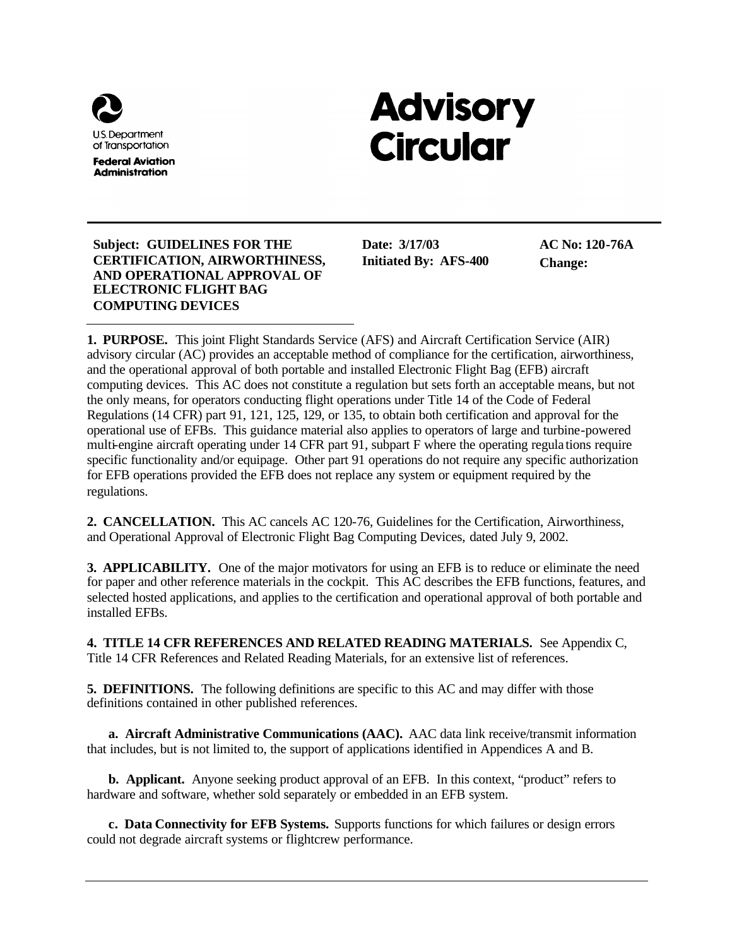

# **Advisory Circular**

#### **Subject: GUIDELINES FOR THE CERTIFICATION, AIRWORTHINESS, AND OPERATIONAL APPROVAL OF ELECTRONIC FLIGHT BAG COMPUTING DEVICES**

**Date: 3/17/03 Initiated By: AFS-400** **AC No: 120-76A Change:** 

**1. PURPOSE.** This joint Flight Standards Service (AFS) and Aircraft Certification Service (AIR) advisory circular (AC) provides an acceptable method of compliance for the certification, airworthiness, and the operational approval of both portable and installed Electronic Flight Bag (EFB) aircraft computing devices. This AC does not constitute a regulation but sets forth an acceptable means, but not the only means, for operators conducting flight operations under Title 14 of the Code of Federal Regulations (14 CFR) part 91, 121, 125, 129, or 135, to obtain both certification and approval for the operational use of EFBs. This guidance material also applies to operators of large and turbine-powered multi-engine aircraft operating under 14 CFR part 91, subpart F where the operating regula tions require specific functionality and/or equipage. Other part 91 operations do not require any specific authorization for EFB operations provided the EFB does not replace any system or equipment required by the regulations.

**2. CANCELLATION.** This AC cancels AC 120-76, Guidelines for the Certification, Airworthiness, and Operational Approval of Electronic Flight Bag Computing Devices, dated July 9, 2002.

**3. APPLICABILITY.** One of the major motivators for using an EFB is to reduce or eliminate the need for paper and other reference materials in the cockpit. This AC describes the EFB functions, features, and selected hosted applications, and applies to the certification and operational approval of both portable and installed EFBs.

**4. TITLE 14 CFR REFERENCES AND RELATED READING MATERIALS.** See Appendix C, Title 14 CFR References and Related Reading Materials, for an extensive list of references.

**5. DEFINITIONS.** The following definitions are specific to this AC and may differ with those definitions contained in other published references.

**a. Aircraft Administrative Communications (AAC).** AAC data link receive/transmit information that includes, but is not limited to, the support of applications identified in Appendices A and B.

**b. Applicant.** Anyone seeking product approval of an EFB. In this context, "product" refers to hardware and software, whether sold separately or embedded in an EFB system.

**c. Data Connectivity for EFB Systems.** Supports functions for which failures or design errors could not degrade aircraft systems or flightcrew performance.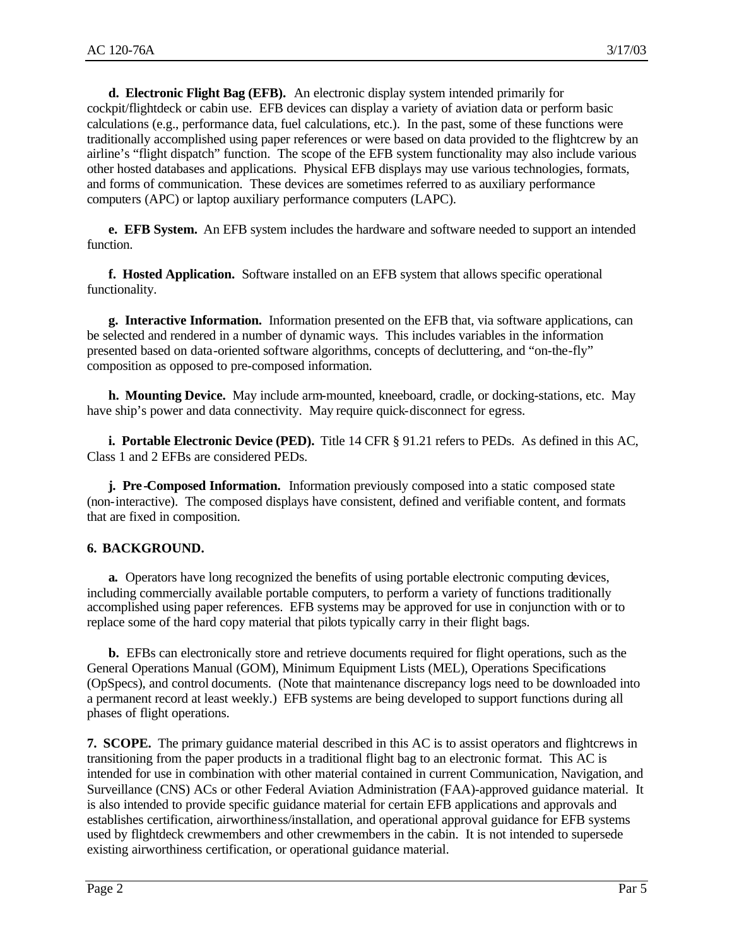**d. Electronic Flight Bag (EFB).** An electronic display system intended primarily for cockpit/flightdeck or cabin use. EFB devices can display a variety of aviation data or perform basic calculations (e.g., performance data, fuel calculations, etc.). In the past, some of these functions were traditionally accomplished using paper references or were based on data provided to the flightcrew by an airline's "flight dispatch" function. The scope of the EFB system functionality may also include various other hosted databases and applications. Physical EFB displays may use various technologies, formats, and forms of communication. These devices are sometimes referred to as auxiliary performance computers (APC) or laptop auxiliary performance computers (LAPC).

**e. EFB System.** An EFB system includes the hardware and software needed to support an intended function.

**f. Hosted Application.** Software installed on an EFB system that allows specific operational functionality.

**g. Interactive Information.** Information presented on the EFB that, via software applications, can be selected and rendered in a number of dynamic ways. This includes variables in the information presented based on data-oriented software algorithms, concepts of decluttering, and "on-the-fly" composition as opposed to pre-composed information.

**h. Mounting Device.** May include arm-mounted, kneeboard, cradle, or docking-stations, etc. May have ship's power and data connectivity. May require quick-disconnect for egress.

**i. Portable Electronic Device (PED).** Title 14 CFR § 91.21 refers to PEDs. As defined in this AC, Class 1 and 2 EFBs are considered PEDs.

**j. Pre-Composed Information.** Information previously composed into a static composed state (non-interactive). The composed displays have consistent, defined and verifiable content, and formats that are fixed in composition.

## **6. BACKGROUND.**

**a.** Operators have long recognized the benefits of using portable electronic computing devices, including commercially available portable computers, to perform a variety of functions traditionally accomplished using paper references. EFB systems may be approved for use in conjunction with or to replace some of the hard copy material that pilots typically carry in their flight bags.

**b.** EFBs can electronically store and retrieve documents required for flight operations, such as the General Operations Manual (GOM), Minimum Equipment Lists (MEL), Operations Specifications (OpSpecs), and control documents. (Note that maintenance discrepancy logs need to be downloaded into a permanent record at least weekly.) EFB systems are being developed to support functions during all phases of flight operations.

**7. SCOPE.** The primary guidance material described in this AC is to assist operators and flightcrews in transitioning from the paper products in a traditional flight bag to an electronic format. This AC is intended for use in combination with other material contained in current Communication, Navigation, and Surveillance (CNS) ACs or other Federal Aviation Administration (FAA)-approved guidance material. It is also intended to provide specific guidance material for certain EFB applications and approvals and establishes certification, airworthiness/installation, and operational approval guidance for EFB systems used by flightdeck crewmembers and other crewmembers in the cabin. It is not intended to supersede existing airworthiness certification, or operational guidance material.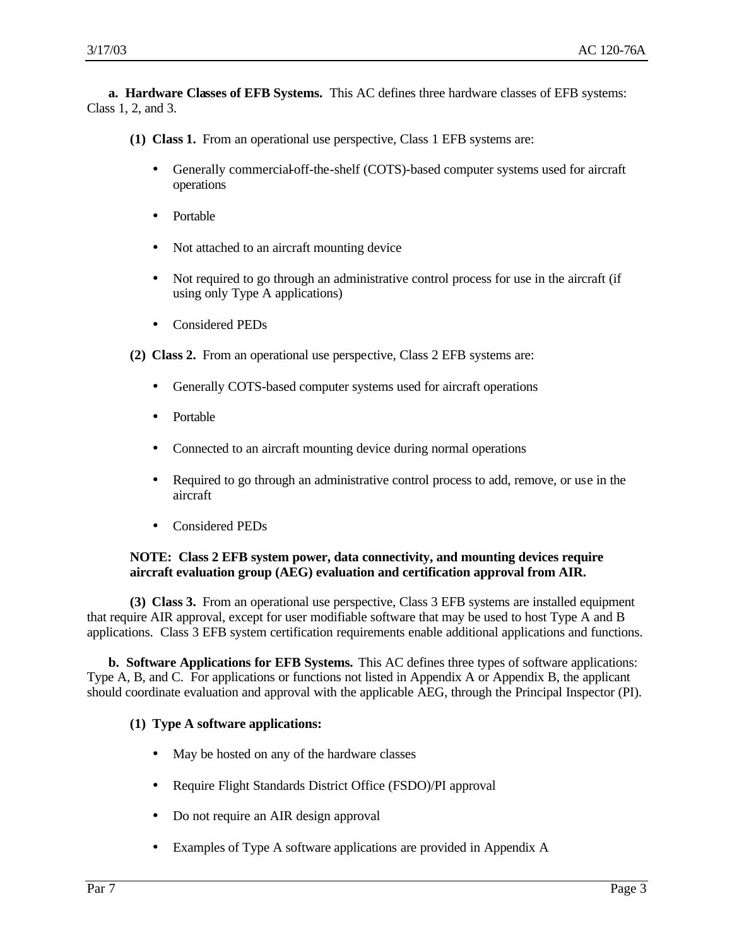**a. Hardware Classes of EFB Systems.** This AC defines three hardware classes of EFB systems: Class 1, 2, and 3.

**(1) Class 1.** From an operational use perspective, Class 1 EFB systems are:

- Generally commercial-off-the-shelf (COTS)-based computer systems used for aircraft operations
- Portable
- Not attached to an aircraft mounting device
- Not required to go through an administrative control process for use in the aircraft (if using only Type A applications)
- Considered PEDs

**(2) Class 2.** From an operational use perspective, Class 2 EFB systems are:

- Generally COTS-based computer systems used for aircraft operations
- Portable
- Connected to an aircraft mounting device during normal operations
- Required to go through an administrative control process to add, remove, or use in the aircraft
- Considered PEDs

#### **NOTE: Class 2 EFB system power, data connectivity, and mounting devices require aircraft evaluation group (AEG) evaluation and certification approval from AIR.**

**(3) Class 3.** From an operational use perspective, Class 3 EFB systems are installed equipment that require AIR approval, except for user modifiable software that may be used to host Type A and B applications. Class 3 EFB system certification requirements enable additional applications and functions.

**b. Software Applications for EFB Systems.** This AC defines three types of software applications: Type A, B, and C. For applications or functions not listed in Appendix A or Appendix B, the applicant should coordinate evaluation and approval with the applicable AEG, through the Principal Inspector (PI).

## **(1) Type A software applications:**

- May be hosted on any of the hardware classes
- Require Flight Standards District Office (FSDO)/PI approval
- Do not require an AIR design approval
- Examples of Type A software applications are provided in Appendix A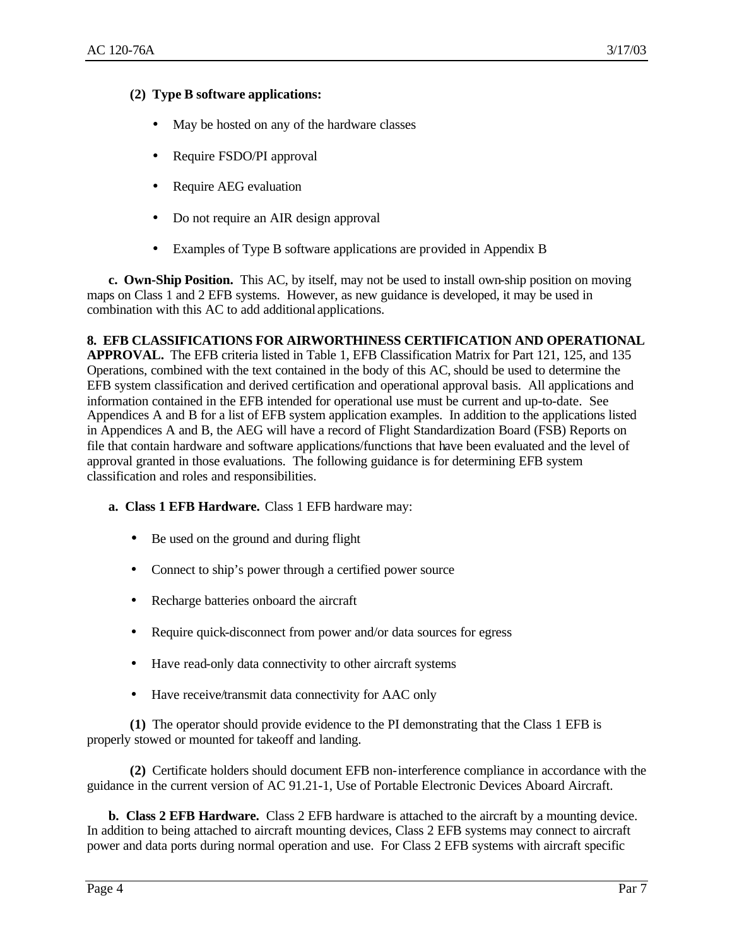# **(2) Type B software applications:**

- May be hosted on any of the hardware classes
- Require FSDO/PI approval
- Require AEG evaluation
- Do not require an AIR design approval
- Examples of Type B software applications are provided in Appendix B

**c. Own-Ship Position.** This AC, by itself, may not be used to install own-ship position on moving maps on Class 1 and 2 EFB systems. However, as new guidance is developed, it may be used in combination with this AC to add additional applications.

#### **8. EFB CLASSIFICATIONS FOR AIRWORTHINESS CERTIFICATION AND OPERATIONAL**

**APPROVAL.** The EFB criteria listed in Table 1, EFB Classification Matrix for Part 121, 125, and 135 Operations, combined with the text contained in the body of this AC, should be used to determine the EFB system classification and derived certification and operational approval basis. All applications and information contained in the EFB intended for operational use must be current and up-to-date. See Appendices A and B for a list of EFB system application examples. In addition to the applications listed in Appendices A and B, the AEG will have a record of Flight Standardization Board (FSB) Reports on file that contain hardware and software applications/functions that have been evaluated and the level of approval granted in those evaluations. The following guidance is for determining EFB system classification and roles and responsibilities.

- **a. Class 1 EFB Hardware.** Class 1 EFB hardware may:
	- Be used on the ground and during flight
	- Connect to ship's power through a certified power source
	- Recharge batteries onboard the aircraft
	- Require quick-disconnect from power and/or data sources for egress
	- Have read-only data connectivity to other aircraft systems
	- Have receive/transmit data connectivity for AAC only

**(1)** The operator should provide evidence to the PI demonstrating that the Class 1 EFB is properly stowed or mounted for takeoff and landing.

**(2)** Certificate holders should document EFB non-interference compliance in accordance with the guidance in the current version of AC 91.21-1, Use of Portable Electronic Devices Aboard Aircraft.

**b. Class 2 EFB Hardware.** Class 2 EFB hardware is attached to the aircraft by a mounting device. In addition to being attached to aircraft mounting devices, Class 2 EFB systems may connect to aircraft power and data ports during normal operation and use. For Class 2 EFB systems with aircraft specific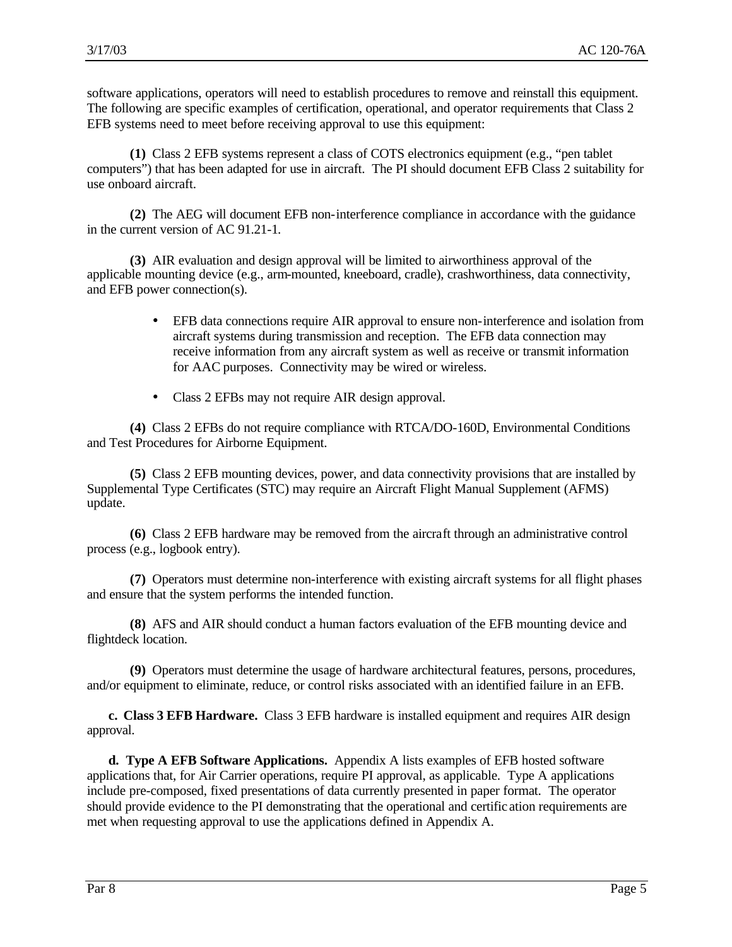software applications, operators will need to establish procedures to remove and reinstall this equipment. The following are specific examples of certification, operational, and operator requirements that Class 2 EFB systems need to meet before receiving approval to use this equipment:

**(1)** Class 2 EFB systems represent a class of COTS electronics equipment (e.g., "pen tablet computers") that has been adapted for use in aircraft. The PI should document EFB Class 2 suitability for use onboard aircraft.

**(2)** The AEG will document EFB non-interference compliance in accordance with the guidance in the current version of AC 91.21-1.

**(3)** AIR evaluation and design approval will be limited to airworthiness approval of the applicable mounting device (e.g., arm-mounted, kneeboard, cradle), crashworthiness, data connectivity, and EFB power connection(s).

- EFB data connections require AIR approval to ensure non-interference and isolation from aircraft systems during transmission and reception. The EFB data connection may receive information from any aircraft system as well as receive or transmit information for AAC purposes. Connectivity may be wired or wireless.
- Class 2 EFBs may not require AIR design approval.

**(4)** Class 2 EFBs do not require compliance with RTCA/DO-160D, Environmental Conditions and Test Procedures for Airborne Equipment.

**(5)** Class 2 EFB mounting devices, power, and data connectivity provisions that are installed by Supplemental Type Certificates (STC) may require an Aircraft Flight Manual Supplement (AFMS) update.

**(6)** Class 2 EFB hardware may be removed from the aircraft through an administrative control process (e.g., logbook entry).

**(7)** Operators must determine non-interference with existing aircraft systems for all flight phases and ensure that the system performs the intended function.

**(8)** AFS and AIR should conduct a human factors evaluation of the EFB mounting device and flightdeck location.

**(9)** Operators must determine the usage of hardware architectural features, persons, procedures, and/or equipment to eliminate, reduce, or control risks associated with an identified failure in an EFB.

**c. Class 3 EFB Hardware.** Class 3 EFB hardware is installed equipment and requires AIR design approval.

**d. Type A EFB Software Applications.** Appendix A lists examples of EFB hosted software applications that, for Air Carrier operations, require PI approval, as applicable. Type A applications include pre-composed, fixed presentations of data currently presented in paper format. The operator should provide evidence to the PI demonstrating that the operational and certific ation requirements are met when requesting approval to use the applications defined in Appendix A.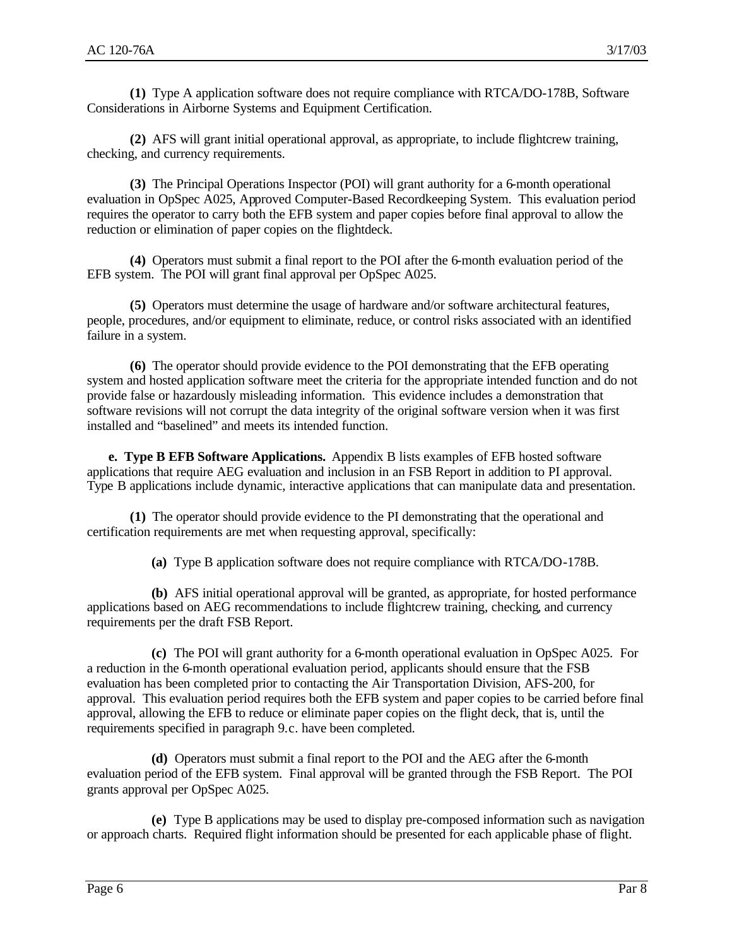**(1)** Type A application software does not require compliance with RTCA/DO-178B, Software Considerations in Airborne Systems and Equipment Certification.

**(2)** AFS will grant initial operational approval, as appropriate, to include flightcrew training, checking, and currency requirements.

**(3)** The Principal Operations Inspector (POI) will grant authority for a 6-month operational evaluation in OpSpec A025, Approved Computer-Based Recordkeeping System. This evaluation period requires the operator to carry both the EFB system and paper copies before final approval to allow the reduction or elimination of paper copies on the flightdeck.

**(4)** Operators must submit a final report to the POI after the 6-month evaluation period of the EFB system. The POI will grant final approval per OpSpec A025.

**(5)** Operators must determine the usage of hardware and/or software architectural features, people, procedures, and/or equipment to eliminate, reduce, or control risks associated with an identified failure in a system.

**(6)** The operator should provide evidence to the POI demonstrating that the EFB operating system and hosted application software meet the criteria for the appropriate intended function and do not provide false or hazardously misleading information. This evidence includes a demonstration that software revisions will not corrupt the data integrity of the original software version when it was first installed and "baselined" and meets its intended function.

**e. Type B EFB Software Applications.** Appendix B lists examples of EFB hosted software applications that require AEG evaluation and inclusion in an FSB Report in addition to PI approval. Type B applications include dynamic, interactive applications that can manipulate data and presentation.

**(1)** The operator should provide evidence to the PI demonstrating that the operational and certification requirements are met when requesting approval, specifically:

**(a)** Type B application software does not require compliance with RTCA/DO-178B.

**(b)** AFS initial operational approval will be granted, as appropriate, for hosted performance applications based on AEG recommendations to include flightcrew training, checking, and currency requirements per the draft FSB Report.

**(c)** The POI will grant authority for a 6-month operational evaluation in OpSpec A025. For a reduction in the 6-month operational evaluation period, applicants should ensure that the FSB evaluation has been completed prior to contacting the Air Transportation Division, AFS-200, for approval. This evaluation period requires both the EFB system and paper copies to be carried before final approval, allowing the EFB to reduce or eliminate paper copies on the flight deck, that is, until the requirements specified in paragraph 9.c. have been completed.

**(d)** Operators must submit a final report to the POI and the AEG after the 6-month evaluation period of the EFB system. Final approval will be granted through the FSB Report. The POI grants approval per OpSpec A025.

**(e)** Type B applications may be used to display pre-composed information such as navigation or approach charts. Required flight information should be presented for each applicable phase of flight.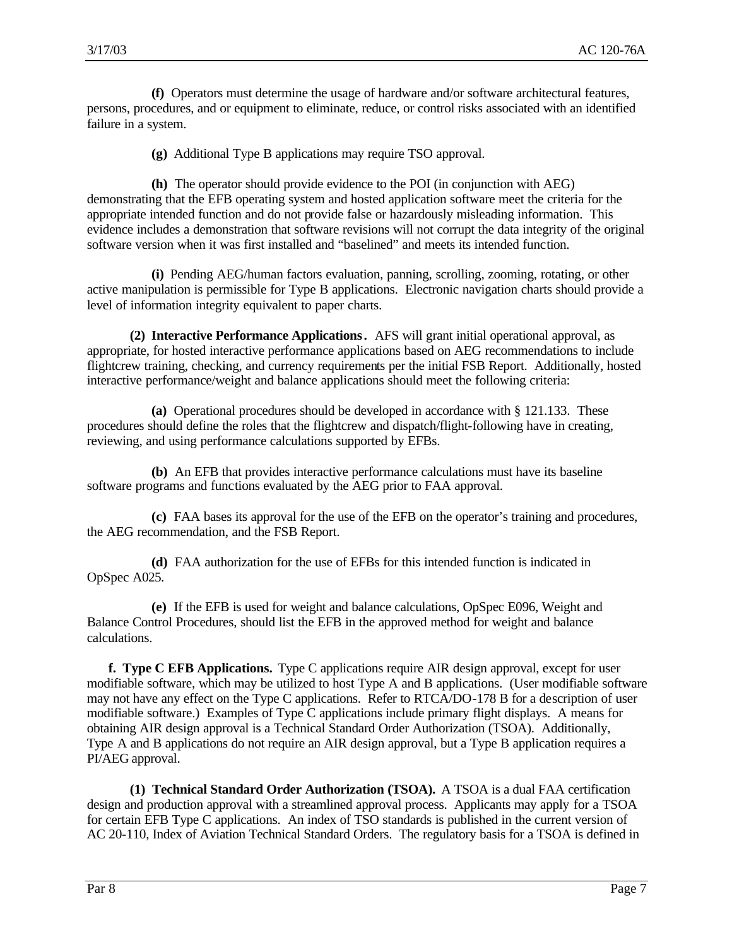**(f)** Operators must determine the usage of hardware and/or software architectural features, persons, procedures, and or equipment to eliminate, reduce, or control risks associated with an identified failure in a system.

**(g)** Additional Type B applications may require TSO approval.

**(h)** The operator should provide evidence to the POI (in conjunction with AEG) demonstrating that the EFB operating system and hosted application software meet the criteria for the appropriate intended function and do not provide false or hazardously misleading information. This evidence includes a demonstration that software revisions will not corrupt the data integrity of the original software version when it was first installed and "baselined" and meets its intended function.

**(i)** Pending AEG/human factors evaluation, panning, scrolling, zooming, rotating, or other active manipulation is permissible for Type B applications. Electronic navigation charts should provide a level of information integrity equivalent to paper charts.

**(2) Interactive Performance Applications.** AFS will grant initial operational approval, as appropriate, for hosted interactive performance applications based on AEG recommendations to include flightcrew training, checking, and currency requirements per the initial FSB Report. Additionally, hosted interactive performance/weight and balance applications should meet the following criteria:

**(a)** Operational procedures should be developed in accordance with § 121.133. These procedures should define the roles that the flightcrew and dispatch/flight-following have in creating, reviewing, and using performance calculations supported by EFBs.

**(b)** An EFB that provides interactive performance calculations must have its baseline software programs and functions evaluated by the AEG prior to FAA approval.

**(c)** FAA bases its approval for the use of the EFB on the operator's training and procedures, the AEG recommendation, and the FSB Report.

**(d)** FAA authorization for the use of EFBs for this intended function is indicated in OpSpec A025.

**(e)** If the EFB is used for weight and balance calculations, OpSpec E096, Weight and Balance Control Procedures, should list the EFB in the approved method for weight and balance calculations.

**f. Type C EFB Applications.** Type C applications require AIR design approval, except for user modifiable software, which may be utilized to host Type A and B applications. (User modifiable software may not have any effect on the Type C applications. Refer to RTCA/DO-178 B for a description of user modifiable software.) Examples of Type C applications include primary flight displays. A means for obtaining AIR design approval is a Technical Standard Order Authorization (TSOA). Additionally, Type A and B applications do not require an AIR design approval, but a Type B application requires a PI/AEG approval.

**(1) Technical Standard Order Authorization (TSOA).** A TSOA is a dual FAA certification design and production approval with a streamlined approval process. Applicants may apply for a TSOA for certain EFB Type C applications. An index of TSO standards is published in the current version of AC 20-110, Index of Aviation Technical Standard Orders. The regulatory basis for a TSOA is defined in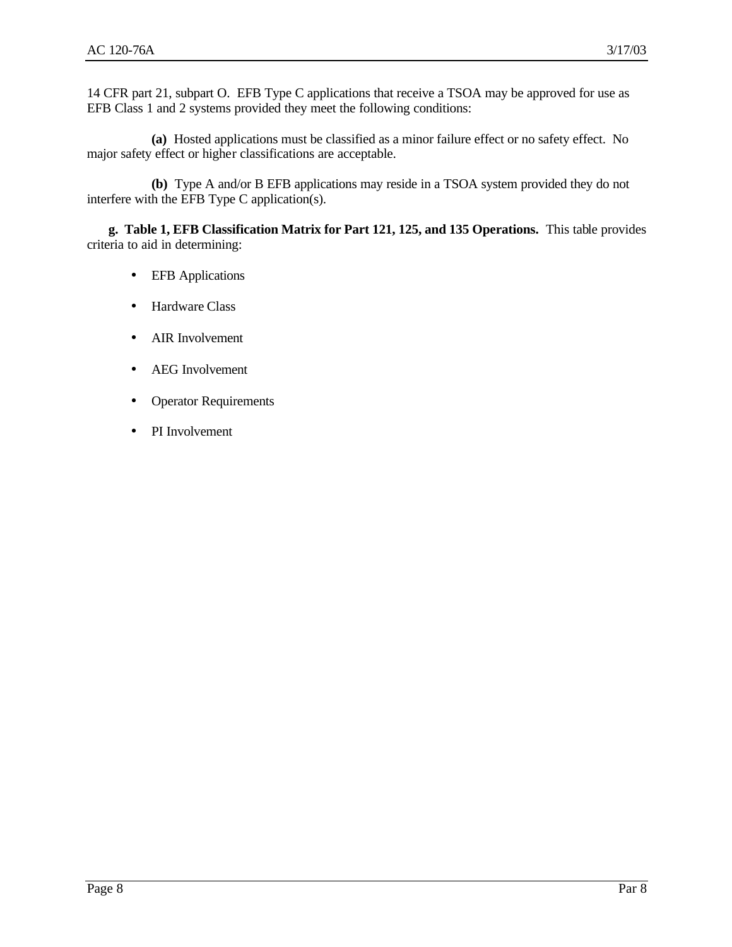14 CFR part 21, subpart O. EFB Type C applications that receive a TSOA may be approved for use as EFB Class 1 and 2 systems provided they meet the following conditions:

**(a)** Hosted applications must be classified as a minor failure effect or no safety effect. No major safety effect or higher classifications are acceptable.

**(b)** Type A and/or B EFB applications may reside in a TSOA system provided they do not interfere with the EFB Type C application(s).

**g. Table 1, EFB Classification Matrix for Part 121, 125, and 135 Operations.** This table provides criteria to aid in determining:

- EFB Applications
- Hardware Class
- AIR Involvement
- AEG Involvement
- Operator Requirements
- PI Involvement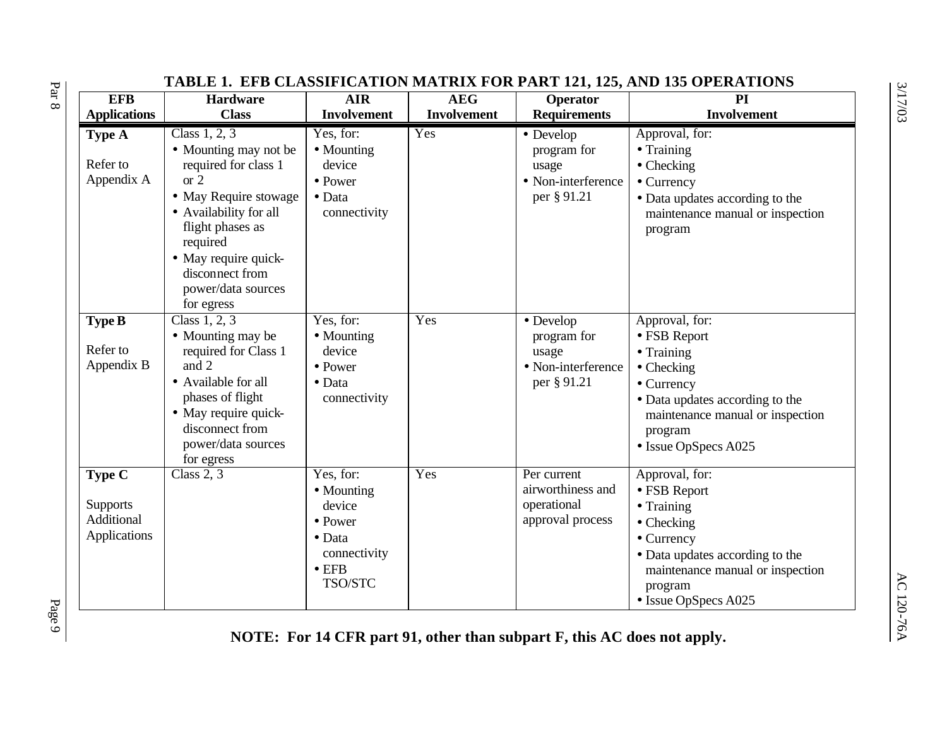| <b>EFB</b>                                              | IADDD I, DFD CDADDIFICATION MATINIA FON FANT 121, 125, AND 155 OFBINTIOND<br><b>Hardware</b>                                                                                                                                               | <b>AIR</b>                                                                                                         | <b>AEG</b>  | Operator                                                               | PI                                                                                                                                                                                                         |
|---------------------------------------------------------|--------------------------------------------------------------------------------------------------------------------------------------------------------------------------------------------------------------------------------------------|--------------------------------------------------------------------------------------------------------------------|-------------|------------------------------------------------------------------------|------------------------------------------------------------------------------------------------------------------------------------------------------------------------------------------------------------|
| <b>Applications</b>                                     | <b>Class</b>                                                                                                                                                                                                                               | <b>Involvement</b>                                                                                                 | Involvement | <b>Requirements</b>                                                    | <b>Involvement</b>                                                                                                                                                                                         |
| Type A<br>Refer to<br>Appendix A                        | Class 1, 2, 3<br>• Mounting may not be<br>required for class 1<br>or $2$<br>• May Require stowage<br>• Availability for all<br>flight phases as<br>required<br>• May require quick-<br>disconnect from<br>power/data sources<br>for egress | Yes, for:<br>• Mounting<br>device<br>$\bullet$ Power<br>$\bullet$ Data<br>connectivity                             | Yes         | • Develop<br>program for<br>usage<br>• Non-interference<br>per § 91.21 | Approval, for:<br>$\bullet$ Training<br>$\bullet$ Checking<br>$\bullet$ Currency<br>• Data updates according to the<br>maintenance manual or inspection<br>program                                         |
| <b>Type B</b><br>Refer to<br>Appendix B                 | Class 1, 2, 3<br>• Mounting may be<br>required for Class 1<br>and 2<br>• Available for all<br>phases of flight<br>• May require quick-<br>disconnect from<br>power/data sources<br>for egress                                              | Yes, for:<br>• Mounting<br>device<br>• Power<br>$\bullet$ Data<br>connectivity                                     | Yes         | • Develop<br>program for<br>usage<br>• Non-interference<br>per § 91.21 | Approval, for:<br>• FSB Report<br>$\bullet$ Training<br>$\bullet$ Checking<br>$\bullet$ Currency<br>• Data updates according to the<br>maintenance manual or inspection<br>program<br>• Issue OpSpecs A025 |
| Type C<br><b>Supports</b><br>Additional<br>Applications | Class $2, 3$                                                                                                                                                                                                                               | Yes, for:<br>• Mounting<br>device<br>$\bullet$ Power<br>$\bullet$ Data<br>connectivity<br>$\bullet$ EFB<br>TSO/STC | Yes         | Per current<br>airworthiness and<br>operational<br>approval process    | Approval, for:<br>• FSB Report<br>$\bullet$ Training<br>$\bullet$ Checking<br>$\bullet$ Currency<br>• Data updates according to the<br>maintenance manual or inspection<br>program<br>• Issue OpSpecs A025 |

# **TABLE 1. EFB CLASSIFICATION MATRIX FOR PART 121, 125, AND 135 OPERATIONS**

 $P_{\rm age}$   $P_{\rm age}$ 

 $\rm Par$  8

**NOTE: For 14 CFR part 91, other than subpart F, this AC does not apply.**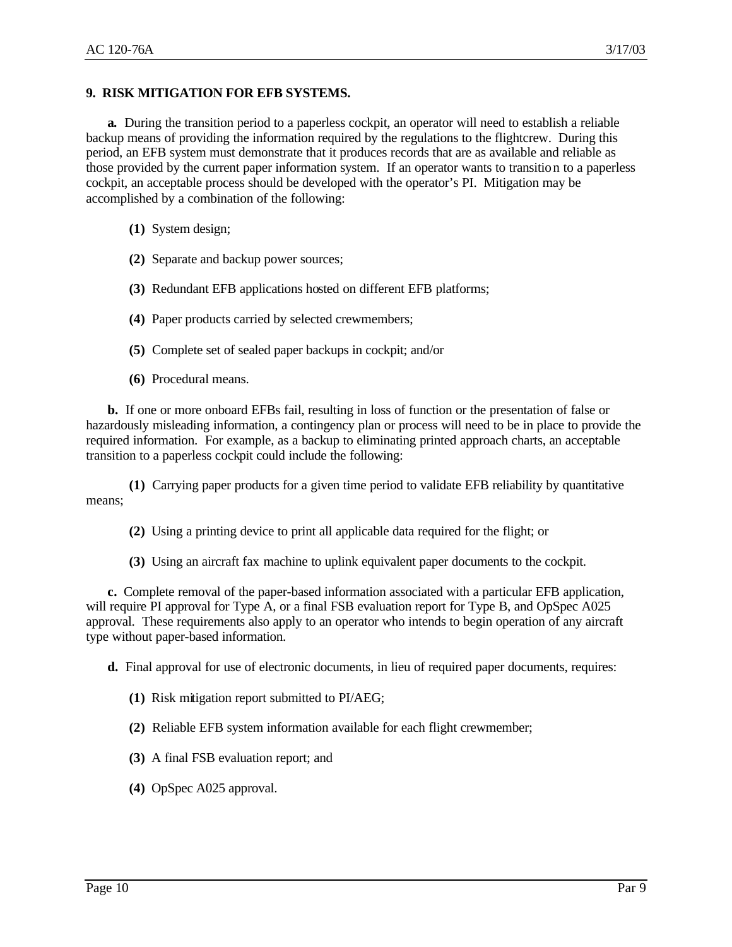#### **9. RISK MITIGATION FOR EFB SYSTEMS.**

**a.** During the transition period to a paperless cockpit, an operator will need to establish a reliable backup means of providing the information required by the regulations to the flightcrew. During this period, an EFB system must demonstrate that it produces records that are as available and reliable as those provided by the current paper information system. If an operator wants to transition to a paperless cockpit, an acceptable process should be developed with the operator's PI. Mitigation may be accomplished by a combination of the following:

- **(1)** System design;
- **(2)** Separate and backup power sources;
- **(3)** Redundant EFB applications hosted on different EFB platforms;
- **(4)** Paper products carried by selected crewmembers;
- **(5)** Complete set of sealed paper backups in cockpit; and/or
- **(6)** Procedural means.

**b.** If one or more onboard EFBs fail, resulting in loss of function or the presentation of false or hazardously misleading information, a contingency plan or process will need to be in place to provide the required information. For example, as a backup to eliminating printed approach charts, an acceptable transition to a paperless cockpit could include the following:

**(1)** Carrying paper products for a given time period to validate EFB reliability by quantitative means;

- **(2)** Using a printing device to print all applicable data required for the flight; or
- **(3)** Using an aircraft fax machine to uplink equivalent paper documents to the cockpit.

**c.** Complete removal of the paper-based information associated with a particular EFB application, will require PI approval for Type A, or a final FSB evaluation report for Type B, and OpSpec A025 approval. These requirements also apply to an operator who intends to begin operation of any aircraft type without paper-based information.

**d.** Final approval for use of electronic documents, in lieu of required paper documents, requires:

- **(1)** Risk mitigation report submitted to PI/AEG;
- **(2)** Reliable EFB system information available for each flight crewmember;
- **(3)** A final FSB evaluation report; and
- **(4)** OpSpec A025 approval.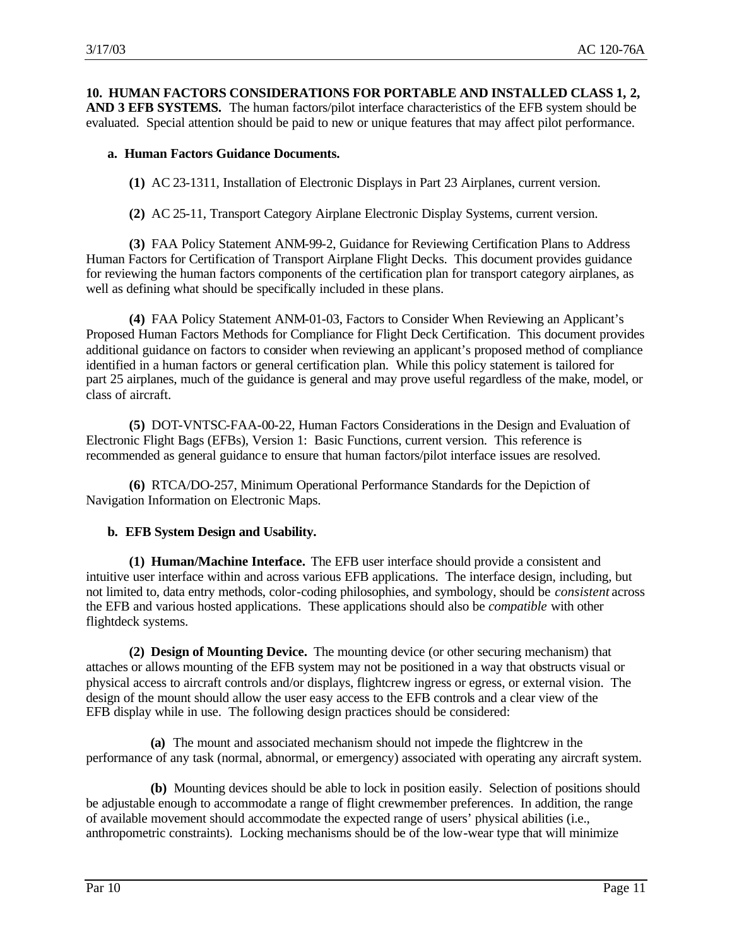**10. HUMAN FACTORS CONSIDERATIONS FOR PORTABLE AND INSTALLED CLASS 1, 2, AND 3 EFB SYSTEMS.** The human factors/pilot interface characteristics of the EFB system should be evaluated. Special attention should be paid to new or unique features that may affect pilot performance.

## **a. Human Factors Guidance Documents.**

**(1)** AC 23-1311, Installation of Electronic Displays in Part 23 Airplanes, current version.

**(2)** AC 25-11, Transport Category Airplane Electronic Display Systems, current version.

**(3)** FAA Policy Statement ANM-99-2, Guidance for Reviewing Certification Plans to Address Human Factors for Certification of Transport Airplane Flight Decks. This document provides guidance for reviewing the human factors components of the certification plan for transport category airplanes, as well as defining what should be specifically included in these plans.

**(4)** FAA Policy Statement ANM-01-03, Factors to Consider When Reviewing an Applicant's Proposed Human Factors Methods for Compliance for Flight Deck Certification. This document provides additional guidance on factors to consider when reviewing an applicant's proposed method of compliance identified in a human factors or general certification plan. While this policy statement is tailored for part 25 airplanes, much of the guidance is general and may prove useful regardless of the make, model, or class of aircraft.

**(5)** DOT-VNTSC-FAA-00-22, Human Factors Considerations in the Design and Evaluation of Electronic Flight Bags (EFBs), Version 1: Basic Functions, current version. This reference is recommended as general guidance to ensure that human factors/pilot interface issues are resolved.

**(6)** RTCA/DO-257, Minimum Operational Performance Standards for the Depiction of Navigation Information on Electronic Maps.

## **b. EFB System Design and Usability.**

**(1) Human/Machine Interface.** The EFB user interface should provide a consistent and intuitive user interface within and across various EFB applications. The interface design, including, but not limited to, data entry methods, color-coding philosophies, and symbology, should be *consistent* across the EFB and various hosted applications. These applications should also be *compatible* with other flightdeck systems.

**(2) Design of Mounting Device.** The mounting device (or other securing mechanism) that attaches or allows mounting of the EFB system may not be positioned in a way that obstructs visual or physical access to aircraft controls and/or displays, flightcrew ingress or egress, or external vision. The design of the mount should allow the user easy access to the EFB controls and a clear view of the EFB display while in use. The following design practices should be considered:

**(a)** The mount and associated mechanism should not impede the flightcrew in the performance of any task (normal, abnormal, or emergency) associated with operating any aircraft system.

**(b)** Mounting devices should be able to lock in position easily. Selection of positions should be adjustable enough to accommodate a range of flight crewmember preferences. In addition, the range of available movement should accommodate the expected range of users' physical abilities (i.e., anthropometric constraints). Locking mechanisms should be of the low-wear type that will minimize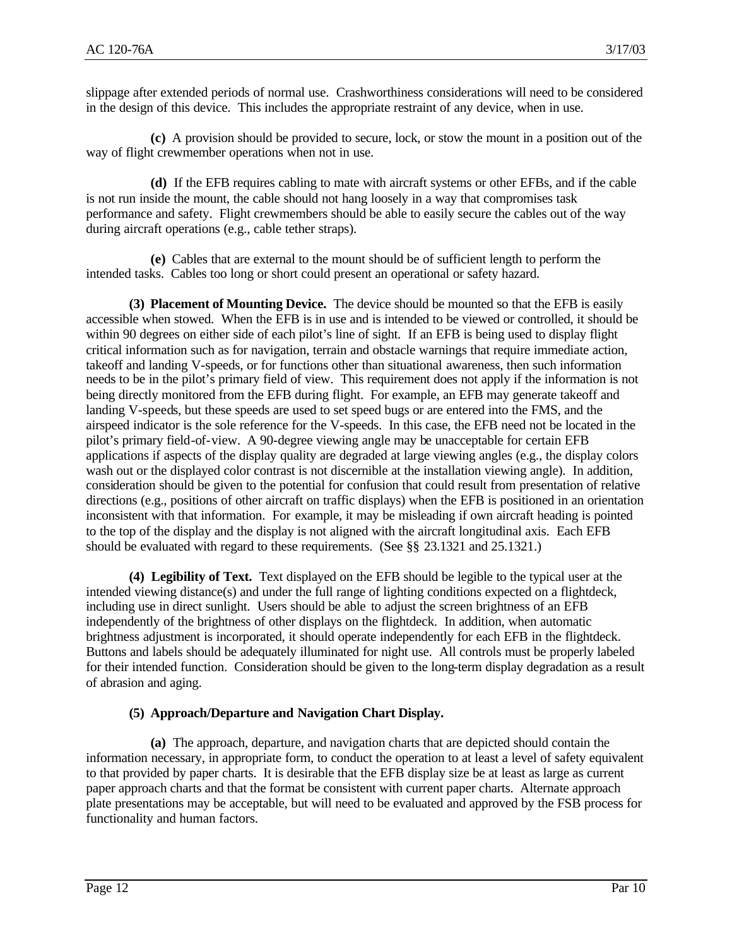slippage after extended periods of normal use. Crashworthiness considerations will need to be considered in the design of this device. This includes the appropriate restraint of any device, when in use.

**(c)** A provision should be provided to secure, lock, or stow the mount in a position out of the way of flight crewmember operations when not in use.

**(d)** If the EFB requires cabling to mate with aircraft systems or other EFBs, and if the cable is not run inside the mount, the cable should not hang loosely in a way that compromises task performance and safety. Flight crewmembers should be able to easily secure the cables out of the way during aircraft operations (e.g., cable tether straps).

**(e)** Cables that are external to the mount should be of sufficient length to perform the intended tasks. Cables too long or short could present an operational or safety hazard.

**(3) Placement of Mounting Device.** The device should be mounted so that the EFB is easily accessible when stowed. When the EFB is in use and is intended to be viewed or controlled, it should be within 90 degrees on either side of each pilot's line of sight. If an EFB is being used to display flight critical information such as for navigation, terrain and obstacle warnings that require immediate action, takeoff and landing V-speeds, or for functions other than situational awareness, then such information needs to be in the pilot's primary field of view. This requirement does not apply if the information is not being directly monitored from the EFB during flight. For example, an EFB may generate takeoff and landing V-speeds, but these speeds are used to set speed bugs or are entered into the FMS, and the airspeed indicator is the sole reference for the V-speeds. In this case, the EFB need not be located in the pilot's primary field-of-view. A 90-degree viewing angle may be unacceptable for certain EFB applications if aspects of the display quality are degraded at large viewing angles (e.g., the display colors wash out or the displayed color contrast is not discernible at the installation viewing angle). In addition, consideration should be given to the potential for confusion that could result from presentation of relative directions (e.g., positions of other aircraft on traffic displays) when the EFB is positioned in an orientation inconsistent with that information. For example, it may be misleading if own aircraft heading is pointed to the top of the display and the display is not aligned with the aircraft longitudinal axis. Each EFB should be evaluated with regard to these requirements. (See §§ 23.1321 and 25.1321.)

**(4) Legibility of Text.** Text displayed on the EFB should be legible to the typical user at the intended viewing distance(s) and under the full range of lighting conditions expected on a flightdeck, including use in direct sunlight. Users should be able to adjust the screen brightness of an EFB independently of the brightness of other displays on the flightdeck. In addition, when automatic brightness adjustment is incorporated, it should operate independently for each EFB in the flightdeck. Buttons and labels should be adequately illuminated for night use. All controls must be properly labeled for their intended function. Consideration should be given to the long-term display degradation as a result of abrasion and aging.

## **(5) Approach/Departure and Navigation Chart Display.**

**(a)** The approach, departure, and navigation charts that are depicted should contain the information necessary, in appropriate form, to conduct the operation to at least a level of safety equivalent to that provided by paper charts. It is desirable that the EFB display size be at least as large as current paper approach charts and that the format be consistent with current paper charts. Alternate approach plate presentations may be acceptable, but will need to be evaluated and approved by the FSB process for functionality and human factors.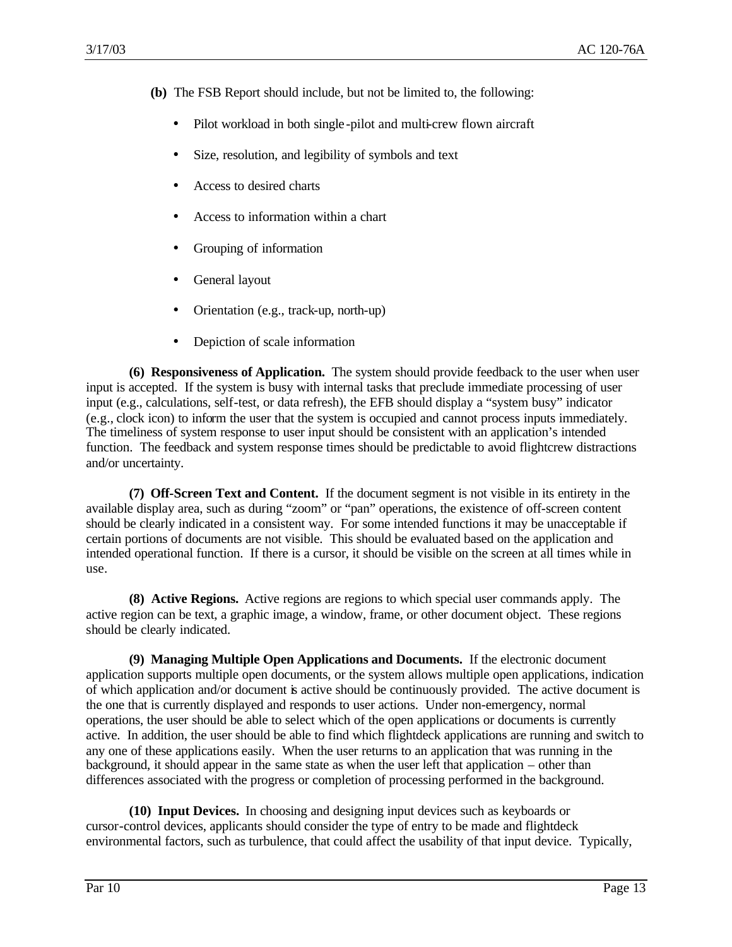**(b)** The FSB Report should include, but not be limited to, the following:

- Pilot workload in both single-pilot and multi-crew flown aircraft
- Size, resolution, and legibility of symbols and text
- Access to desired charts
- Access to information within a chart
- Grouping of information
- General layout
- Orientation (e.g., track-up, north-up)
- Depiction of scale information

**(6) Responsiveness of Application.** The system should provide feedback to the user when user input is accepted. If the system is busy with internal tasks that preclude immediate processing of user input (e.g., calculations, self-test, or data refresh), the EFB should display a "system busy" indicator (e.g., clock icon) to inform the user that the system is occupied and cannot process inputs immediately. The timeliness of system response to user input should be consistent with an application's intended function. The feedback and system response times should be predictable to avoid flightcrew distractions and/or uncertainty.

**(7) Off-Screen Text and Content.** If the document segment is not visible in its entirety in the available display area, such as during "zoom" or "pan" operations, the existence of off-screen content should be clearly indicated in a consistent way. For some intended functions it may be unacceptable if certain portions of documents are not visible. This should be evaluated based on the application and intended operational function. If there is a cursor, it should be visible on the screen at all times while in use.

**(8) Active Regions.** Active regions are regions to which special user commands apply. The active region can be text, a graphic image, a window, frame, or other document object. These regions should be clearly indicated.

**(9) Managing Multiple Open Applications and Documents.** If the electronic document application supports multiple open documents, or the system allows multiple open applications, indication of which application and/or document is active should be continuously provided. The active document is the one that is currently displayed and responds to user actions. Under non-emergency, normal operations, the user should be able to select which of the open applications or documents is currently active. In addition, the user should be able to find which flightdeck applications are running and switch to any one of these applications easily. When the user returns to an application that was running in the background, it should appear in the same state as when the user left that application – other than differences associated with the progress or completion of processing performed in the background.

**(10) Input Devices.** In choosing and designing input devices such as keyboards or cursor-control devices, applicants should consider the type of entry to be made and flightdeck environmental factors, such as turbulence, that could affect the usability of that input device. Typically,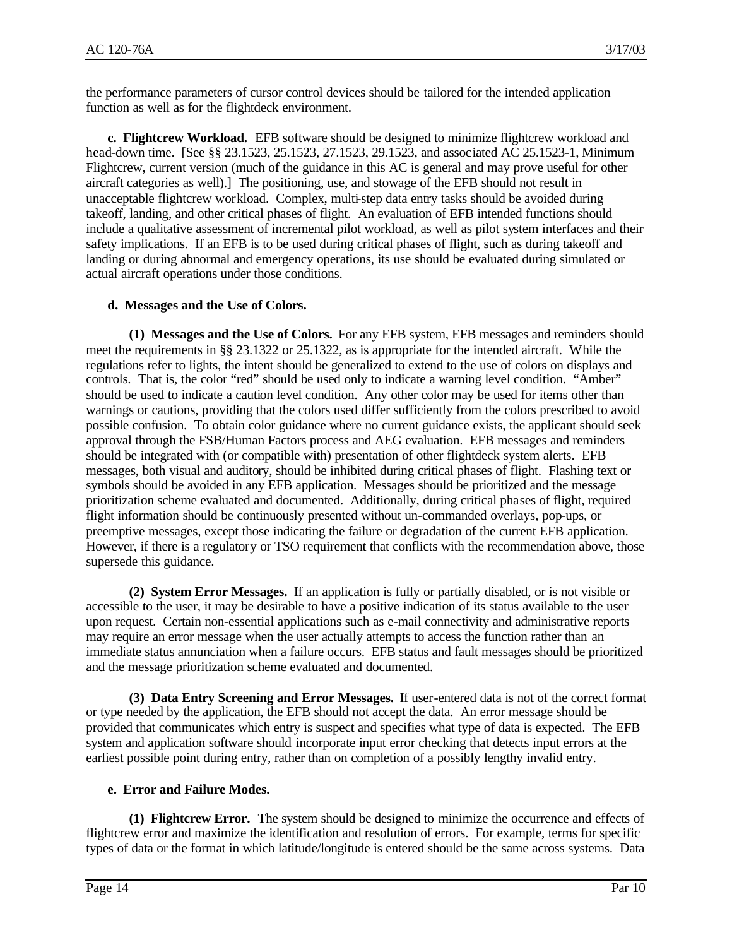the performance parameters of cursor control devices should be tailored for the intended application function as well as for the flightdeck environment.

**c. Flightcrew Workload.** EFB software should be designed to minimize flightcrew workload and head-down time. [See §§ 23.1523, 25.1523, 27.1523, 29.1523, and associated AC 25.1523-1, Minimum Flightcrew, current version (much of the guidance in this AC is general and may prove useful for other aircraft categories as well).] The positioning, use, and stowage of the EFB should not result in unacceptable flightcrew workload. Complex, multi-step data entry tasks should be avoided during takeoff, landing, and other critical phases of flight. An evaluation of EFB intended functions should include a qualitative assessment of incremental pilot workload, as well as pilot system interfaces and their safety implications. If an EFB is to be used during critical phases of flight, such as during takeoff and landing or during abnormal and emergency operations, its use should be evaluated during simulated or actual aircraft operations under those conditions.

# **d. Messages and the Use of Colors.**

**(1) Messages and the Use of Colors.** For any EFB system, EFB messages and reminders should meet the requirements in §§ 23.1322 or 25.1322, as is appropriate for the intended aircraft. While the regulations refer to lights, the intent should be generalized to extend to the use of colors on displays and controls. That is, the color "red" should be used only to indicate a warning level condition. "Amber" should be used to indicate a caution level condition. Any other color may be used for items other than warnings or cautions, providing that the colors used differ sufficiently from the colors prescribed to avoid possible confusion. To obtain color guidance where no current guidance exists, the applicant should seek approval through the FSB/Human Factors process and AEG evaluation. EFB messages and reminders should be integrated with (or compatible with) presentation of other flightdeck system alerts. EFB messages, both visual and auditory, should be inhibited during critical phases of flight. Flashing text or symbols should be avoided in any EFB application. Messages should be prioritized and the message prioritization scheme evaluated and documented. Additionally, during critical phases of flight, required flight information should be continuously presented without un-commanded overlays, pop-ups, or preemptive messages, except those indicating the failure or degradation of the current EFB application. However, if there is a regulatory or TSO requirement that conflicts with the recommendation above, those supersede this guidance.

**(2) System Error Messages.** If an application is fully or partially disabled, or is not visible or accessible to the user, it may be desirable to have a positive indication of its status available to the user upon request. Certain non-essential applications such as e-mail connectivity and administrative reports may require an error message when the user actually attempts to access the function rather than an immediate status annunciation when a failure occurs. EFB status and fault messages should be prioritized and the message prioritization scheme evaluated and documented.

**(3) Data Entry Screening and Error Messages.** If user-entered data is not of the correct format or type needed by the application, the EFB should not accept the data. An error message should be provided that communicates which entry is suspect and specifies what type of data is expected. The EFB system and application software should incorporate input error checking that detects input errors at the earliest possible point during entry, rather than on completion of a possibly lengthy invalid entry.

## **e. Error and Failure Modes.**

**(1) Flightcrew Error.** The system should be designed to minimize the occurrence and effects of flightcrew error and maximize the identification and resolution of errors. For example, terms for specific types of data or the format in which latitude/longitude is entered should be the same across systems. Data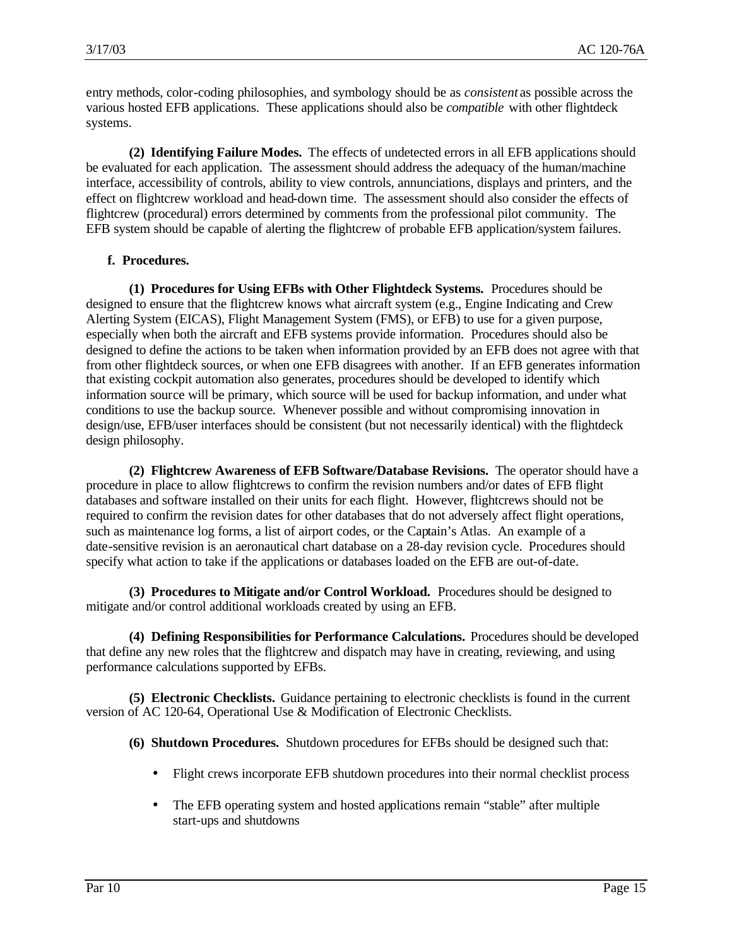entry methods, color-coding philosophies, and symbology should be as *consistent* as possible across the various hosted EFB applications. These applications should also be *compatible* with other flightdeck systems.

**(2) Identifying Failure Modes.** The effects of undetected errors in all EFB applications should be evaluated for each application. The assessment should address the adequacy of the human/machine interface, accessibility of controls, ability to view controls, annunciations, displays and printers, and the effect on flightcrew workload and head-down time. The assessment should also consider the effects of flightcrew (procedural) errors determined by comments from the professional pilot community. The EFB system should be capable of alerting the flightcrew of probable EFB application/system failures.

# **f. Procedures.**

**(1) Procedures for Using EFBs with Other Flightdeck Systems.** Procedures should be designed to ensure that the flightcrew knows what aircraft system (e.g., Engine Indicating and Crew Alerting System (EICAS), Flight Management System (FMS), or EFB) to use for a given purpose, especially when both the aircraft and EFB systems provide information. Procedures should also be designed to define the actions to be taken when information provided by an EFB does not agree with that from other flightdeck sources, or when one EFB disagrees with another. If an EFB generates information that existing cockpit automation also generates, procedures should be developed to identify which information source will be primary, which source will be used for backup information, and under what conditions to use the backup source. Whenever possible and without compromising innovation in design/use, EFB/user interfaces should be consistent (but not necessarily identical) with the flightdeck design philosophy.

**(2) Flightcrew Awareness of EFB Software/Database Revisions.** The operator should have a procedure in place to allow flightcrews to confirm the revision numbers and/or dates of EFB flight databases and software installed on their units for each flight. However, flightcrews should not be required to confirm the revision dates for other databases that do not adversely affect flight operations, such as maintenance log forms, a list of airport codes, or the Captain's Atlas. An example of a date-sensitive revision is an aeronautical chart database on a 28-day revision cycle. Procedures should specify what action to take if the applications or databases loaded on the EFB are out-of-date.

**(3) Procedures to Mitigate and/or Control Workload.** Procedures should be designed to mitigate and/or control additional workloads created by using an EFB.

**(4) Defining Responsibilities for Performance Calculations.** Procedures should be developed that define any new roles that the flightcrew and dispatch may have in creating, reviewing, and using performance calculations supported by EFBs.

**(5) Electronic Checklists.** Guidance pertaining to electronic checklists is found in the current version of AC 120-64, Operational Use & Modification of Electronic Checklists.

**(6) Shutdown Procedures.** Shutdown procedures for EFBs should be designed such that:

- Flight crews incorporate EFB shutdown procedures into their normal checklist process
- The EFB operating system and hosted applications remain "stable" after multiple start-ups and shutdowns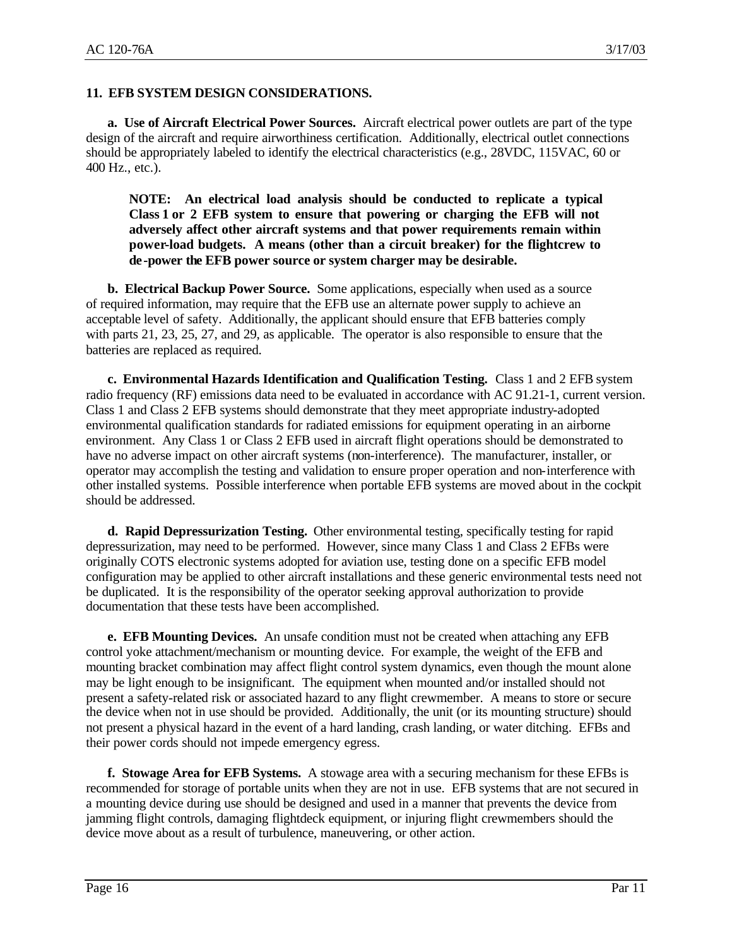## **11. EFB SYSTEM DESIGN CONSIDERATIONS.**

**a. Use of Aircraft Electrical Power Sources.** Aircraft electrical power outlets are part of the type design of the aircraft and require airworthiness certification. Additionally, electrical outlet connections should be appropriately labeled to identify the electrical characteristics (e.g., 28VDC, 115VAC, 60 or 400 Hz., etc.).

**NOTE: An electrical load analysis should be conducted to replicate a typical Class 1 or 2 EFB system to ensure that powering or charging the EFB will not adversely affect other aircraft systems and that power requirements remain within power-load budgets. A means (other than a circuit breaker) for the flightcrew to de-power the EFB power source or system charger may be desirable.**

**b. Electrical Backup Power Source.** Some applications, especially when used as a source of required information, may require that the EFB use an alternate power supply to achieve an acceptable level of safety. Additionally, the applicant should ensure that EFB batteries comply with parts 21, 23, 25, 27, and 29, as applicable. The operator is also responsible to ensure that the batteries are replaced as required.

**c. Environmental Hazards Identification and Qualification Testing.** Class 1 and 2 EFB system radio frequency (RF) emissions data need to be evaluated in accordance with AC 91.21-1, current version. Class 1 and Class 2 EFB systems should demonstrate that they meet appropriate industry-adopted environmental qualification standards for radiated emissions for equipment operating in an airborne environment. Any Class 1 or Class 2 EFB used in aircraft flight operations should be demonstrated to have no adverse impact on other aircraft systems (non-interference). The manufacturer, installer, or operator may accomplish the testing and validation to ensure proper operation and non-interference with other installed systems. Possible interference when portable EFB systems are moved about in the cockpit should be addressed.

**d. Rapid Depressurization Testing.** Other environmental testing, specifically testing for rapid depressurization, may need to be performed. However, since many Class 1 and Class 2 EFBs were originally COTS electronic systems adopted for aviation use, testing done on a specific EFB model configuration may be applied to other aircraft installations and these generic environmental tests need not be duplicated. It is the responsibility of the operator seeking approval authorization to provide documentation that these tests have been accomplished.

**e. EFB Mounting Devices.** An unsafe condition must not be created when attaching any EFB control yoke attachment/mechanism or mounting device. For example, the weight of the EFB and mounting bracket combination may affect flight control system dynamics, even though the mount alone may be light enough to be insignificant. The equipment when mounted and/or installed should not present a safety-related risk or associated hazard to any flight crewmember. A means to store or secure the device when not in use should be provided. Additionally, the unit (or its mounting structure) should not present a physical hazard in the event of a hard landing, crash landing, or water ditching. EFBs and their power cords should not impede emergency egress.

**f. Stowage Area for EFB Systems.** A stowage area with a securing mechanism for these EFBs is recommended for storage of portable units when they are not in use. EFB systems that are not secured in a mounting device during use should be designed and used in a manner that prevents the device from jamming flight controls, damaging flightdeck equipment, or injuring flight crewmembers should the device move about as a result of turbulence, maneuvering, or other action.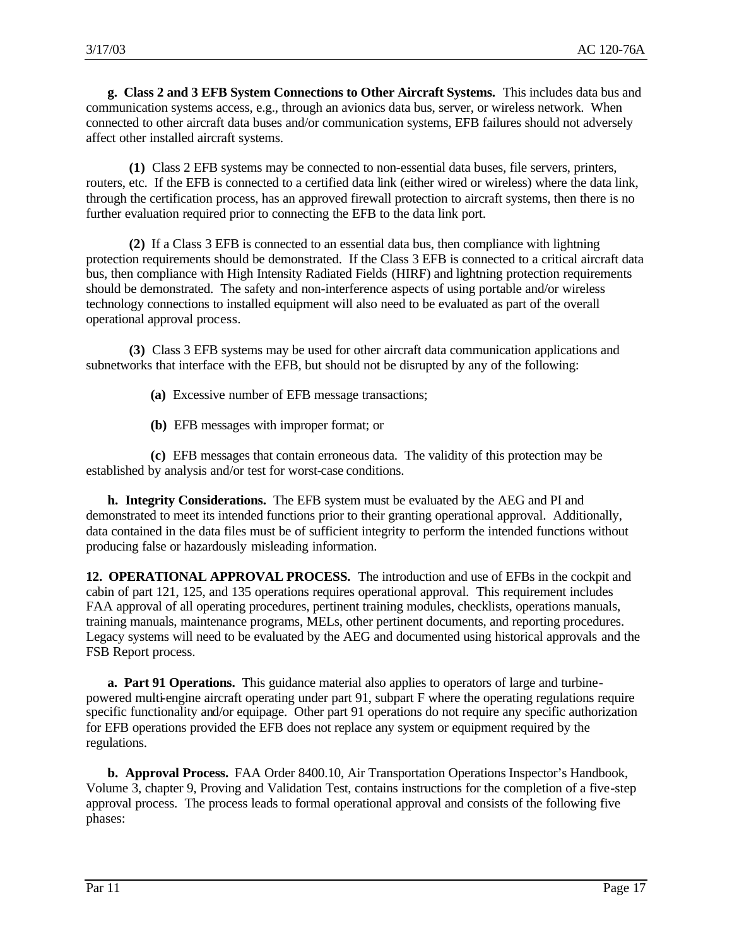**g. Class 2 and 3 EFB System Connections to Other Aircraft Systems.** This includes data bus and communication systems access, e.g., through an avionics data bus, server, or wireless network. When connected to other aircraft data buses and/or communication systems, EFB failures should not adversely affect other installed aircraft systems.

**(1)** Class 2 EFB systems may be connected to non-essential data buses, file servers, printers, routers, etc. If the EFB is connected to a certified data link (either wired or wireless) where the data link, through the certification process, has an approved firewall protection to aircraft systems, then there is no further evaluation required prior to connecting the EFB to the data link port.

**(2)** If a Class 3 EFB is connected to an essential data bus, then compliance with lightning protection requirements should be demonstrated. If the Class 3 EFB is connected to a critical aircraft data bus, then compliance with High Intensity Radiated Fields (HIRF) and lightning protection requirements should be demonstrated. The safety and non-interference aspects of using portable and/or wireless technology connections to installed equipment will also need to be evaluated as part of the overall operational approval process.

**(3)** Class 3 EFB systems may be used for other aircraft data communication applications and subnetworks that interface with the EFB, but should not be disrupted by any of the following:

- **(a)** Excessive number of EFB message transactions;
- **(b)** EFB messages with improper format; or

**(c)** EFB messages that contain erroneous data. The validity of this protection may be established by analysis and/or test for worst-case conditions.

**h. Integrity Considerations.** The EFB system must be evaluated by the AEG and PI and demonstrated to meet its intended functions prior to their granting operational approval. Additionally, data contained in the data files must be of sufficient integrity to perform the intended functions without producing false or hazardously misleading information.

**12. OPERATIONAL APPROVAL PROCESS.** The introduction and use of EFBs in the cockpit and cabin of part 121, 125, and 135 operations requires operational approval. This requirement includes FAA approval of all operating procedures, pertinent training modules, checklists, operations manuals, training manuals, maintenance programs, MELs, other pertinent documents, and reporting procedures. Legacy systems will need to be evaluated by the AEG and documented using historical approvals and the FSB Report process.

**a. Part 91 Operations.** This guidance material also applies to operators of large and turbinepowered multi-engine aircraft operating under part 91, subpart F where the operating regulations require specific functionality and/or equipage. Other part 91 operations do not require any specific authorization for EFB operations provided the EFB does not replace any system or equipment required by the regulations.

**b. Approval Process.** FAA Order 8400.10, Air Transportation Operations Inspector's Handbook, Volume 3, chapter 9, Proving and Validation Test, contains instructions for the completion of a five-step approval process. The process leads to formal operational approval and consists of the following five phases: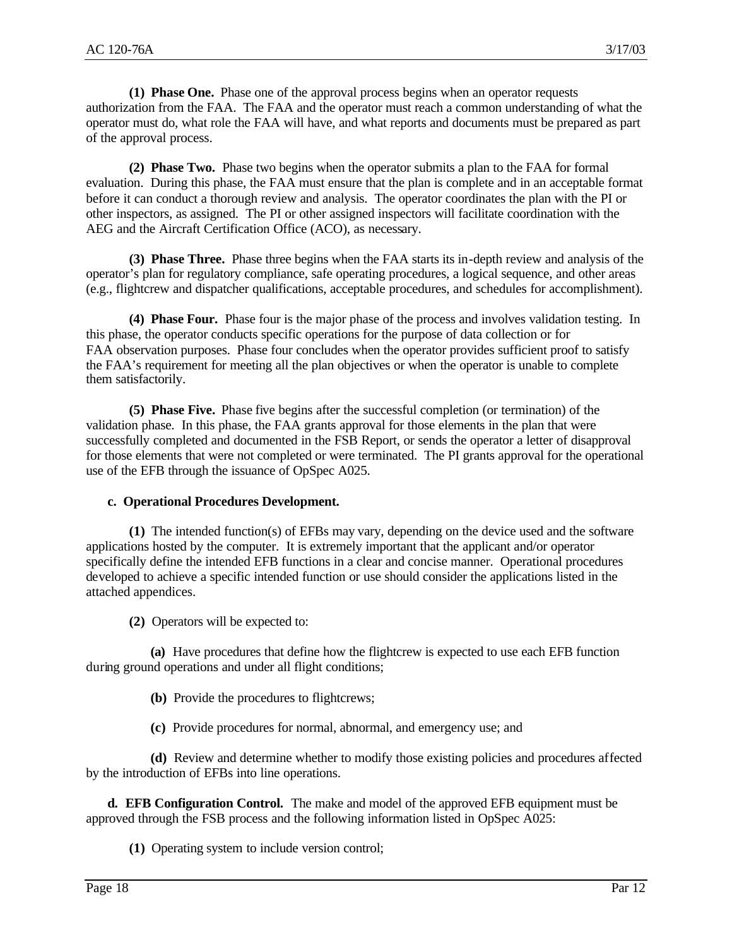**(1) Phase One.** Phase one of the approval process begins when an operator requests authorization from the FAA. The FAA and the operator must reach a common understanding of what the operator must do, what role the FAA will have, and what reports and documents must be prepared as part of the approval process.

**(2) Phase Two.**Phase two begins when the operator submits a plan to the FAA for formal evaluation. During this phase, the FAA must ensure that the plan is complete and in an acceptable format before it can conduct a thorough review and analysis. The operator coordinates the plan with the PI or other inspectors, as assigned. The PI or other assigned inspectors will facilitate coordination with the AEG and the Aircraft Certification Office (ACO), as necessary.

**(3) Phase Three.** Phase three begins when the FAA starts its in-depth review and analysis of the operator's plan for regulatory compliance, safe operating procedures, a logical sequence, and other areas (e.g., flightcrew and dispatcher qualifications, acceptable procedures, and schedules for accomplishment).

**(4) Phase Four.** Phase four is the major phase of the process and involves validation testing. In this phase, the operator conducts specific operations for the purpose of data collection or for FAA observation purposes. Phase four concludes when the operator provides sufficient proof to satisfy the FAA's requirement for meeting all the plan objectives or when the operator is unable to complete them satisfactorily.

**(5) Phase Five.** Phase five begins after the successful completion (or termination) of the validation phase. In this phase, the FAA grants approval for those elements in the plan that were successfully completed and documented in the FSB Report, or sends the operator a letter of disapproval for those elements that were not completed or were terminated. The PI grants approval for the operational use of the EFB through the issuance of OpSpec A025.

#### **c. Operational Procedures Development.**

**(1)** The intended function(s) of EFBs may vary, depending on the device used and the software applications hosted by the computer. It is extremely important that the applicant and/or operator specifically define the intended EFB functions in a clear and concise manner. Operational procedures developed to achieve a specific intended function or use should consider the applications listed in the attached appendices.

**(2)** Operators will be expected to:

**(a)** Have procedures that define how the flightcrew is expected to use each EFB function during ground operations and under all flight conditions;

- **(b)** Provide the procedures to flightcrews;
- **(c)** Provide procedures for normal, abnormal, and emergency use; and

**(d)** Review and determine whether to modify those existing policies and procedures affected by the introduction of EFBs into line operations.

**d. EFB Configuration Control.** The make and model of the approved EFB equipment must be approved through the FSB process and the following information listed in OpSpec A025:

**(1)** Operating system to include version control;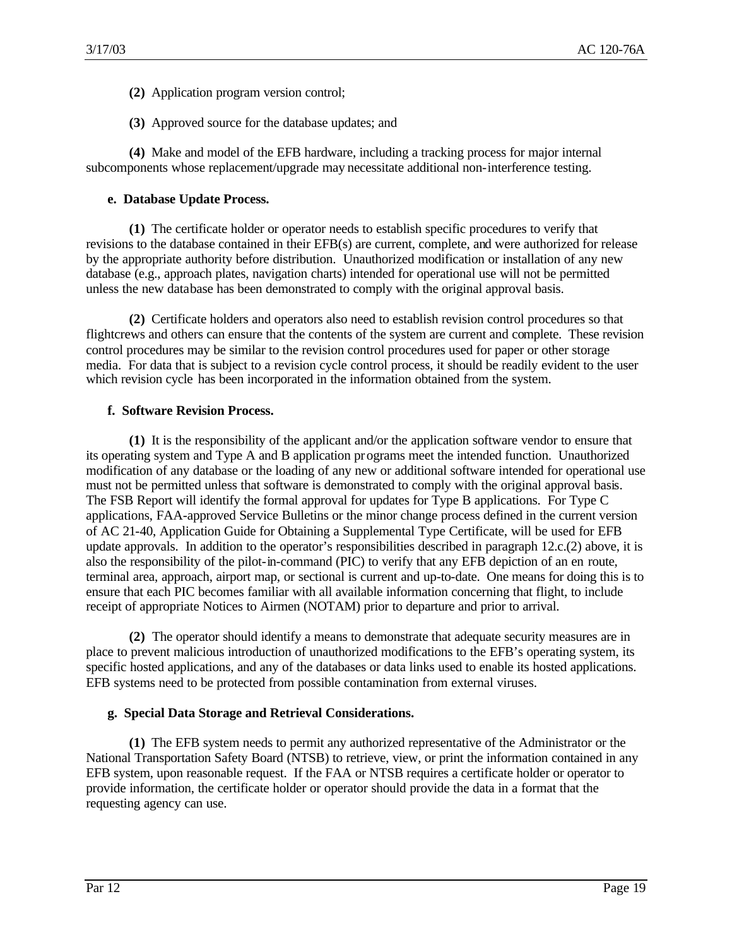- **(2)** Application program version control;
- **(3)** Approved source for the database updates; and

**(4)** Make and model of the EFB hardware, including a tracking process for major internal subcomponents whose replacement/upgrade may necessitate additional non-interference testing.

## **e. Database Update Process.**

**(1)** The certificate holder or operator needs to establish specific procedures to verify that revisions to the database contained in their EFB(s) are current, complete, and were authorized for release by the appropriate authority before distribution. Unauthorized modification or installation of any new database (e.g., approach plates, navigation charts) intended for operational use will not be permitted unless the new database has been demonstrated to comply with the original approval basis.

**(2)** Certificate holders and operators also need to establish revision control procedures so that flightcrews and others can ensure that the contents of the system are current and complete. These revision control procedures may be similar to the revision control procedures used for paper or other storage media. For data that is subject to a revision cycle control process, it should be readily evident to the user which revision cycle has been incorporated in the information obtained from the system.

# **f. Software Revision Process.**

**(1)** It is the responsibility of the applicant and/or the application software vendor to ensure that its operating system and Type A and B application programs meet the intended function. Unauthorized modification of any database or the loading of any new or additional software intended for operational use must not be permitted unless that software is demonstrated to comply with the original approval basis. The FSB Report will identify the formal approval for updates for Type B applications. For Type C applications, FAA-approved Service Bulletins or the minor change process defined in the current version of AC 21-40, Application Guide for Obtaining a Supplemental Type Certificate, will be used for EFB update approvals. In addition to the operator's responsibilities described in paragraph 12.c.(2) above, it is also the responsibility of the pilot-in-command (PIC) to verify that any EFB depiction of an en route, terminal area, approach, airport map, or sectional is current and up-to-date. One means for doing this is to ensure that each PIC becomes familiar with all available information concerning that flight, to include receipt of appropriate Notices to Airmen (NOTAM) prior to departure and prior to arrival.

**(2)** The operator should identify a means to demonstrate that adequate security measures are in place to prevent malicious introduction of unauthorized modifications to the EFB's operating system, its specific hosted applications, and any of the databases or data links used to enable its hosted applications. EFB systems need to be protected from possible contamination from external viruses.

## **g. Special Data Storage and Retrieval Considerations.**

**(1)** The EFB system needs to permit any authorized representative of the Administrator or the National Transportation Safety Board (NTSB) to retrieve, view, or print the information contained in any EFB system, upon reasonable request. If the FAA or NTSB requires a certificate holder or operator to provide information, the certificate holder or operator should provide the data in a format that the requesting agency can use.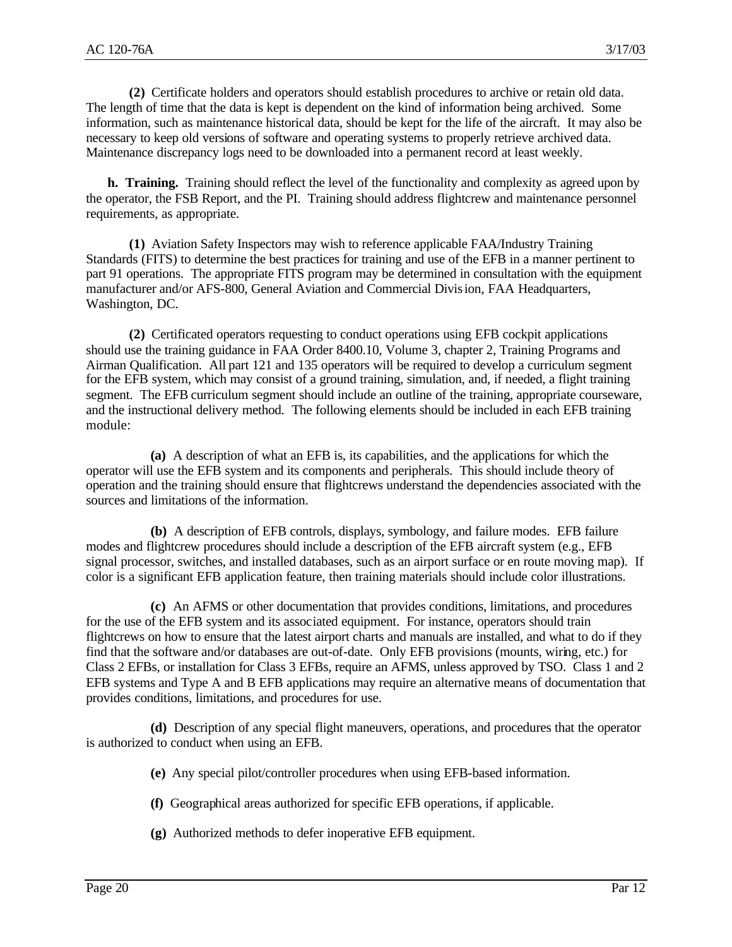**(2)** Certificate holders and operators should establish procedures to archive or retain old data. The length of time that the data is kept is dependent on the kind of information being archived. Some information, such as maintenance historical data, should be kept for the life of the aircraft. It may also be necessary to keep old versions of software and operating systems to properly retrieve archived data. Maintenance discrepancy logs need to be downloaded into a permanent record at least weekly.

**h. Training.** Training should reflect the level of the functionality and complexity as agreed upon by the operator, the FSB Report, and the PI. Training should address flightcrew and maintenance personnel requirements, as appropriate.

**(1)** Aviation Safety Inspectors may wish to reference applicable FAA/Industry Training Standards (FITS) to determine the best practices for training and use of the EFB in a manner pertinent to part 91 operations. The appropriate FITS program may be determined in consultation with the equipment manufacturer and/or AFS-800, General Aviation and Commercial Division, FAA Headquarters, Washington, DC.

**(2)** Certificated operators requesting to conduct operations using EFB cockpit applications should use the training guidance in FAA Order 8400.10, Volume 3, chapter 2, Training Programs and Airman Qualification. All part 121 and 135 operators will be required to develop a curriculum segment for the EFB system, which may consist of a ground training, simulation, and, if needed, a flight training segment. The EFB curriculum segment should include an outline of the training, appropriate courseware, and the instructional delivery method. The following elements should be included in each EFB training module:

**(a)** A description of what an EFB is, its capabilities, and the applications for which the operator will use the EFB system and its components and peripherals. This should include theory of operation and the training should ensure that flightcrews understand the dependencies associated with the sources and limitations of the information.

**(b)** A description of EFB controls, displays, symbology, and failure modes. EFB failure modes and flightcrew procedures should include a description of the EFB aircraft system (e.g., EFB signal processor, switches, and installed databases, such as an airport surface or en route moving map). If color is a significant EFB application feature, then training materials should include color illustrations.

**(c)** An AFMS or other documentation that provides conditions, limitations, and procedures for the use of the EFB system and its associated equipment. For instance, operators should train flightcrews on how to ensure that the latest airport charts and manuals are installed, and what to do if they find that the software and/or databases are out-of-date. Only EFB provisions (mounts, wiring, etc.) for Class 2 EFBs, or installation for Class 3 EFBs, require an AFMS, unless approved by TSO. Class 1 and 2 EFB systems and Type A and B EFB applications may require an alternative means of documentation that provides conditions, limitations, and procedures for use.

**(d)** Description of any special flight maneuvers, operations, and procedures that the operator is authorized to conduct when using an EFB.

- **(e)** Any special pilot/controller procedures when using EFB-based information.
- **(f)** Geographical areas authorized for specific EFB operations, if applicable.
- **(g)** Authorized methods to defer inoperative EFB equipment.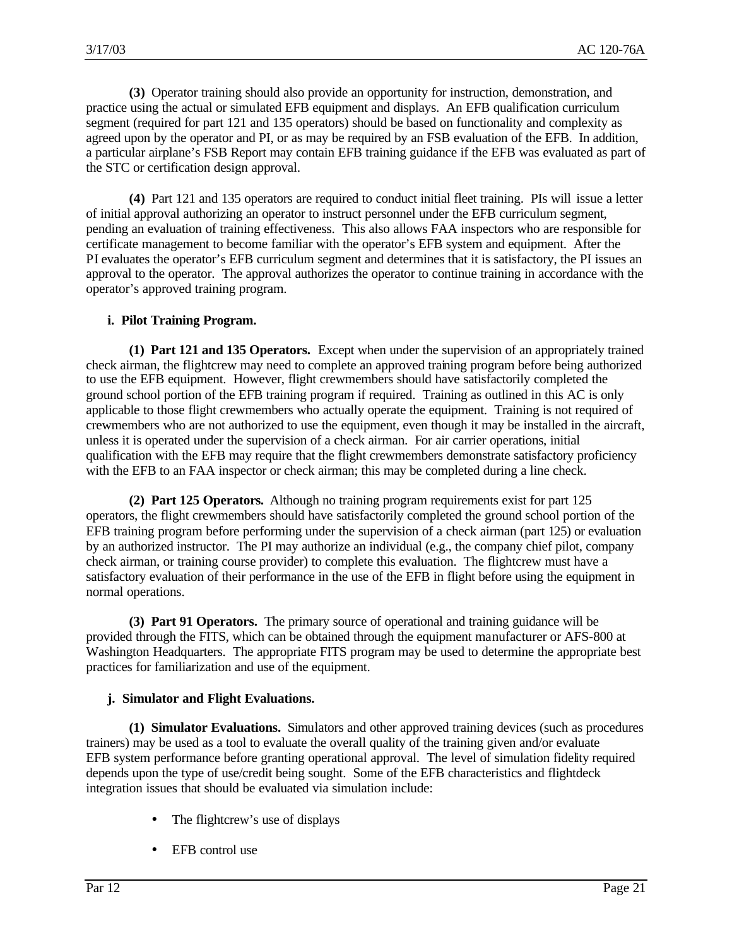**(3)** Operator training should also provide an opportunity for instruction, demonstration, and practice using the actual or simulated EFB equipment and displays. An EFB qualification curriculum segment (required for part 121 and 135 operators) should be based on functionality and complexity as agreed upon by the operator and PI, or as may be required by an FSB evaluation of the EFB. In addition, a particular airplane's FSB Report may contain EFB training guidance if the EFB was evaluated as part of the STC or certification design approval.

**(4)** Part 121 and 135 operators are required to conduct initial fleet training. PIs will issue a letter of initial approval authorizing an operator to instruct personnel under the EFB curriculum segment, pending an evaluation of training effectiveness. This also allows FAA inspectors who are responsible for certificate management to become familiar with the operator's EFB system and equipment. After the PI evaluates the operator's EFB curriculum segment and determines that it is satisfactory, the PI issues an approval to the operator. The approval authorizes the operator to continue training in accordance with the operator's approved training program.

# **i. Pilot Training Program.**

**(1) Part 121 and 135 Operators.** Except when under the supervision of an appropriately trained check airman, the flightcrew may need to complete an approved training program before being authorized to use the EFB equipment. However, flight crewmembers should have satisfactorily completed the ground school portion of the EFB training program if required. Training as outlined in this AC is only applicable to those flight crewmembers who actually operate the equipment. Training is not required of crewmembers who are not authorized to use the equipment, even though it may be installed in the aircraft, unless it is operated under the supervision of a check airman. For air carrier operations, initial qualification with the EFB may require that the flight crewmembers demonstrate satisfactory proficiency with the EFB to an FAA inspector or check airman; this may be completed during a line check.

**(2) Part 125 Operators.** Although no training program requirements exist for part 125 operators, the flight crewmembers should have satisfactorily completed the ground school portion of the EFB training program before performing under the supervision of a check airman (part 125) or evaluation by an authorized instructor. The PI may authorize an individual (e.g., the company chief pilot, company check airman, or training course provider) to complete this evaluation. The flightcrew must have a satisfactory evaluation of their performance in the use of the EFB in flight before using the equipment in normal operations.

**(3) Part 91 Operators.** The primary source of operational and training guidance will be provided through the FITS, which can be obtained through the equipment manufacturer or AFS-800 at Washington Headquarters. The appropriate FITS program may be used to determine the appropriate best practices for familiarization and use of the equipment.

## **j. Simulator and Flight Evaluations.**

**(1) Simulator Evaluations.** Simulators and other approved training devices (such as procedures trainers) may be used as a tool to evaluate the overall quality of the training given and/or evaluate EFB system performance before granting operational approval. The level of simulation fidelity required depends upon the type of use/credit being sought. Some of the EFB characteristics and flightdeck integration issues that should be evaluated via simulation include:

- The flightcrew's use of displays
- EFB control use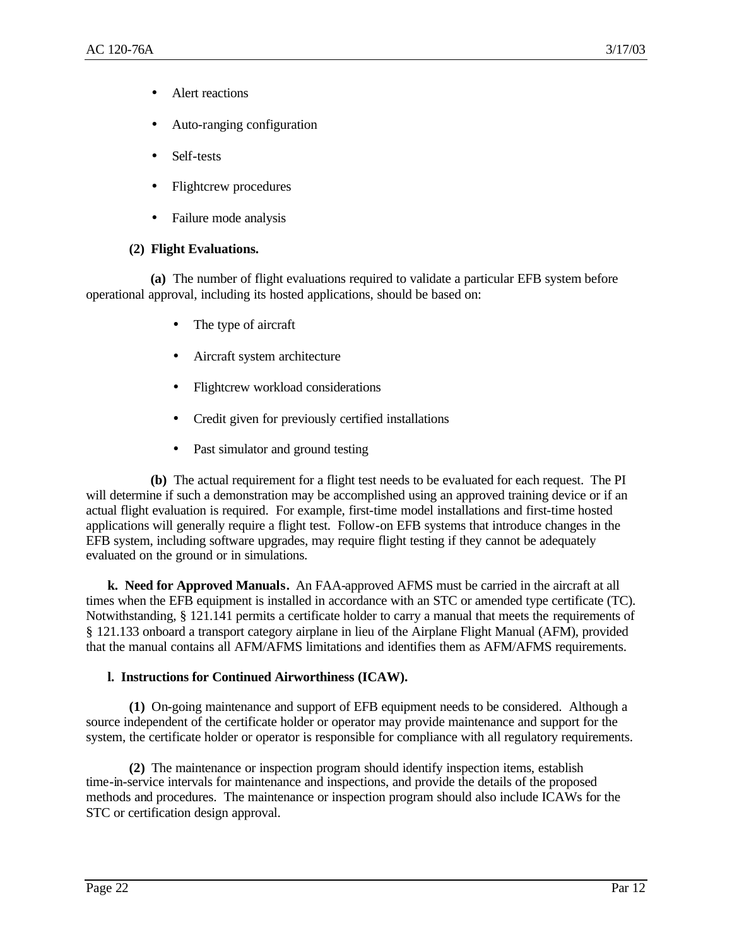- Alert reactions
- Auto-ranging configuration
- Self-tests
- Flightcrew procedures
- Failure mode analysis

## **(2) Flight Evaluations.**

**(a)** The number of flight evaluations required to validate a particular EFB system before operational approval, including its hosted applications, should be based on:

- The type of aircraft
- Aircraft system architecture
- Flightcrew workload considerations
- Credit given for previously certified installations
- Past simulator and ground testing

**(b)** The actual requirement for a flight test needs to be evaluated for each request. The PI will determine if such a demonstration may be accomplished using an approved training device or if an actual flight evaluation is required. For example, first-time model installations and first-time hosted applications will generally require a flight test. Follow-on EFB systems that introduce changes in the EFB system, including software upgrades, may require flight testing if they cannot be adequately evaluated on the ground or in simulations.

**k. Need for Approved Manuals.** An FAA-approved AFMS must be carried in the aircraft at all times when the EFB equipment is installed in accordance with an STC or amended type certificate (TC). Notwithstanding, § 121.141 permits a certificate holder to carry a manual that meets the requirements of § 121.133 onboard a transport category airplane in lieu of the Airplane Flight Manual (AFM), provided that the manual contains all AFM/AFMS limitations and identifies them as AFM/AFMS requirements.

## **l. Instructions for Continued Airworthiness (ICAW).**

**(1)** On-going maintenance and support of EFB equipment needs to be considered. Although a source independent of the certificate holder or operator may provide maintenance and support for the system, the certificate holder or operator is responsible for compliance with all regulatory requirements.

**(2)** The maintenance or inspection program should identify inspection items, establish time-in-service intervals for maintenance and inspections, and provide the details of the proposed methods and procedures. The maintenance or inspection program should also include ICAWs for the STC or certification design approval.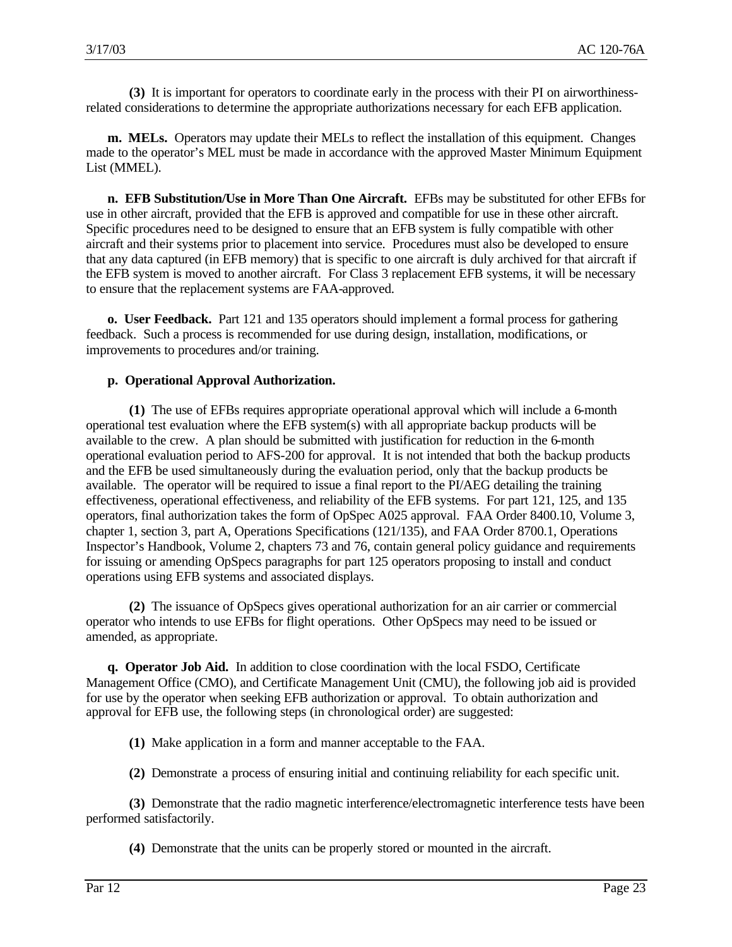**(3)** It is important for operators to coordinate early in the process with their PI on airworthinessrelated considerations to determine the appropriate authorizations necessary for each EFB application.

**m. MELs.** Operators may update their MELs to reflect the installation of this equipment. Changes made to the operator's MEL must be made in accordance with the approved Master Minimum Equipment List (MMEL).

**n. EFB Substitution/Use in More Than One Aircraft.** EFBs may be substituted for other EFBs for use in other aircraft, provided that the EFB is approved and compatible for use in these other aircraft. Specific procedures need to be designed to ensure that an EFB system is fully compatible with other aircraft and their systems prior to placement into service. Procedures must also be developed to ensure that any data captured (in EFB memory) that is specific to one aircraft is duly archived for that aircraft if the EFB system is moved to another aircraft. For Class 3 replacement EFB systems, it will be necessary to ensure that the replacement systems are FAA-approved.

**o. User Feedback.** Part 121 and 135 operators should implement a formal process for gathering feedback. Such a process is recommended for use during design, installation, modifications, or improvements to procedures and/or training.

## **p. Operational Approval Authorization.**

**(1)** The use of EFBs requires appropriate operational approval which will include a 6-month operational test evaluation where the EFB system(s) with all appropriate backup products will be available to the crew. A plan should be submitted with justification for reduction in the 6-month operational evaluation period to AFS-200 for approval. It is not intended that both the backup products and the EFB be used simultaneously during the evaluation period, only that the backup products be available. The operator will be required to issue a final report to the PI/AEG detailing the training effectiveness, operational effectiveness, and reliability of the EFB systems. For part 121, 125, and 135 operators, final authorization takes the form of OpSpec A025 approval. FAA Order 8400.10, Volume 3, chapter 1, section 3, part A, Operations Specifications (121/135), and FAA Order 8700.1, Operations Inspector's Handbook, Volume 2, chapters 73 and 76, contain general policy guidance and requirements for issuing or amending OpSpecs paragraphs for part 125 operators proposing to install and conduct operations using EFB systems and associated displays.

**(2)** The issuance of OpSpecs gives operational authorization for an air carrier or commercial operator who intends to use EFBs for flight operations. Other OpSpecs may need to be issued or amended, as appropriate.

**q. Operator Job Aid.** In addition to close coordination with the local FSDO, Certificate Management Office (CMO), and Certificate Management Unit (CMU), the following job aid is provided for use by the operator when seeking EFB authorization or approval. To obtain authorization and approval for EFB use, the following steps (in chronological order) are suggested:

- **(1)** Make application in a form and manner acceptable to the FAA.
- **(2)** Demonstrate a process of ensuring initial and continuing reliability for each specific unit.

**(3)** Demonstrate that the radio magnetic interference/electromagnetic interference tests have been performed satisfactorily.

**(4)** Demonstrate that the units can be properly stored or mounted in the aircraft.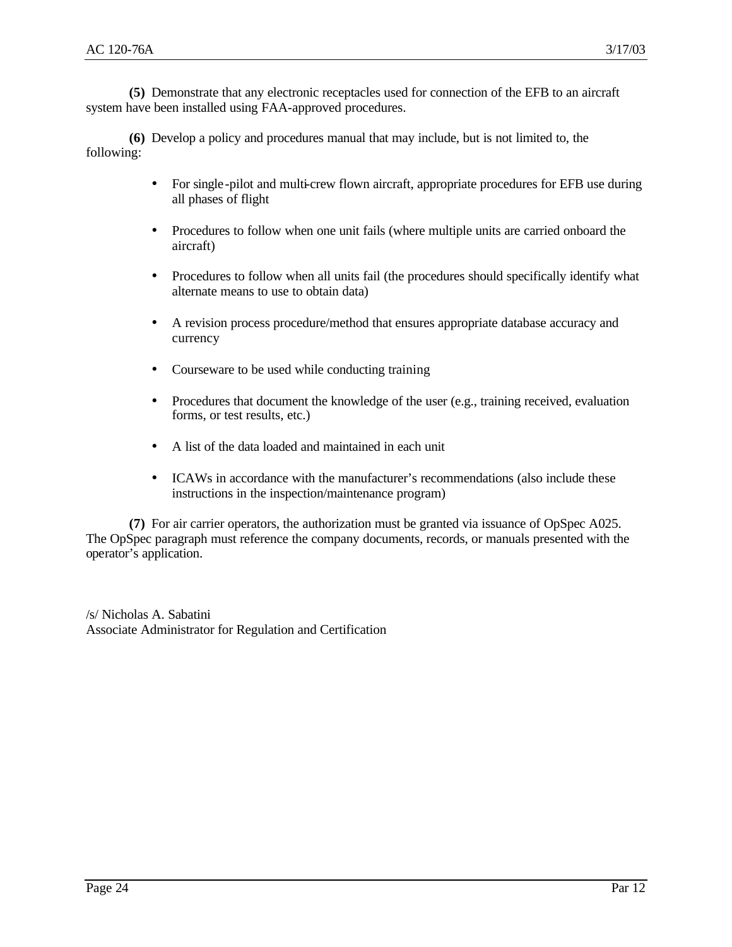**(5)** Demonstrate that any electronic receptacles used for connection of the EFB to an aircraft system have been installed using FAA-approved procedures.

**(6)** Develop a policy and procedures manual that may include, but is not limited to, the following:

- For single-pilot and multi-crew flown aircraft, appropriate procedures for EFB use during all phases of flight
- Procedures to follow when one unit fails (where multiple units are carried onboard the aircraft)
- Procedures to follow when all units fail (the procedures should specifically identify what alternate means to use to obtain data)
- A revision process procedure/method that ensures appropriate database accuracy and currency
- Courseware to be used while conducting training
- Procedures that document the knowledge of the user (e.g., training received, evaluation forms, or test results, etc.)
- A list of the data loaded and maintained in each unit
- ICAWs in accordance with the manufacturer's recommendations (also include these instructions in the inspection/maintenance program)

**(7)** For air carrier operators, the authorization must be granted via issuance of OpSpec A025. The OpSpec paragraph must reference the company documents, records, or manuals presented with the operator's application.

/s/ Nicholas A. Sabatini Associate Administrator for Regulation and Certification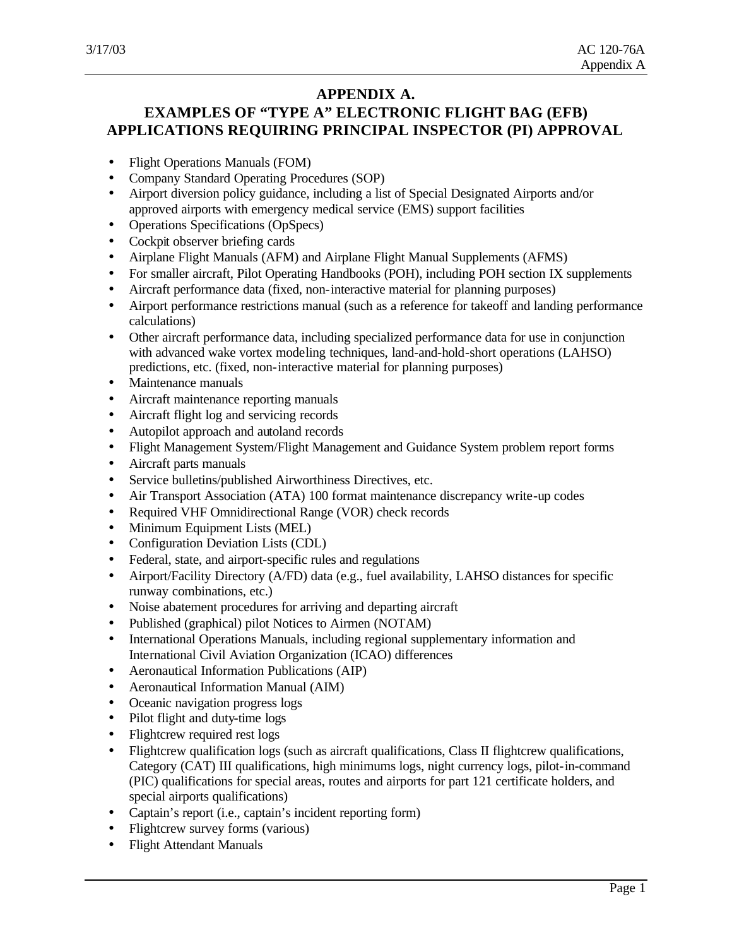# **APPENDIX A.**

# **EXAMPLES OF "TYPE A" ELECTRONIC FLIGHT BAG (EFB) APPLICATIONS REQUIRING PRINCIPAL INSPECTOR (PI) APPROVAL**

- Flight Operations Manuals (FOM)
- Company Standard Operating Procedures (SOP)
- Airport diversion policy guidance, including a list of Special Designated Airports and/or approved airports with emergency medical service (EMS) support facilities
- Operations Specifications (OpSpecs)
- Cockpit observer briefing cards
- Airplane Flight Manuals (AFM) and Airplane Flight Manual Supplements (AFMS)
- For smaller aircraft, Pilot Operating Handbooks (POH), including POH section IX supplements
- Aircraft performance data (fixed, non-interactive material for planning purposes)
- Airport performance restrictions manual (such as a reference for takeoff and landing performance calculations)
- Other aircraft performance data, including specialized performance data for use in conjunction with advanced wake vortex modeling techniques, land-and-hold-short operations (LAHSO) predictions, etc. (fixed, non-interactive material for planning purposes)
- Maintenance manuals
- Aircraft maintenance reporting manuals
- Aircraft flight log and servicing records
- Autopilot approach and autoland records
- Flight Management System/Flight Management and Guidance System problem report forms
- Aircraft parts manuals
- Service bulletins/published Airworthiness Directives, etc.
- Air Transport Association (ATA) 100 format maintenance discrepancy write-up codes
- Required VHF Omnidirectional Range (VOR) check records
- Minimum Equipment Lists (MEL)
- Configuration Deviation Lists (CDL)
- Federal, state, and airport-specific rules and regulations
- Airport/Facility Directory (A/FD) data (e.g., fuel availability, LAHSO distances for specific runway combinations, etc.)
- Noise abatement procedures for arriving and departing aircraft
- Published (graphical) pilot Notices to Airmen (NOTAM)
- International Operations Manuals, including regional supplementary information and International Civil Aviation Organization (ICAO) differences
- Aeronautical Information Publications (AIP)
- Aeronautical Information Manual (AIM)
- Oceanic navigation progress logs
- Pilot flight and duty-time logs
- Flightcrew required rest logs
- Flightcrew qualification logs (such as aircraft qualifications, Class II flightcrew qualifications, Category (CAT) III qualifications, high minimums logs, night currency logs, pilot-in-command (PIC) qualifications for special areas, routes and airports for part 121 certificate holders, and special airports qualifications)
- Captain's report (i.e., captain's incident reporting form)
- Flightcrew survey forms (various)
- Flight Attendant Manuals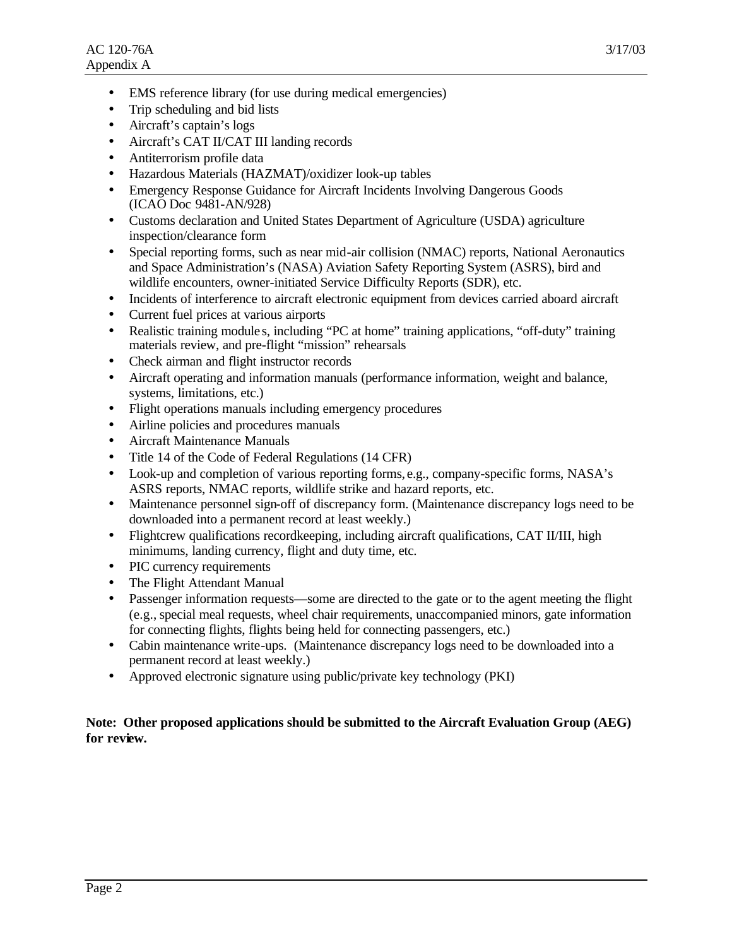- EMS reference library (for use during medical emergencies)
- Trip scheduling and bid lists
- Aircraft's captain's logs
- Aircraft's CAT II/CAT III landing records
- Antiterrorism profile data
- Hazardous Materials (HAZMAT)/oxidizer look-up tables
- Emergency Response Guidance for Aircraft Incidents Involving Dangerous Goods (ICAO Doc 9481-AN/928)
- Customs declaration and United States Department of Agriculture (USDA) agriculture inspection/clearance form
- Special reporting forms, such as near mid-air collision (NMAC) reports, National Aeronautics and Space Administration's (NASA) Aviation Safety Reporting System (ASRS), bird and wildlife encounters, owner-initiated Service Difficulty Reports (SDR), etc.
- Incidents of interference to aircraft electronic equipment from devices carried aboard aircraft
- Current fuel prices at various airports
- Realistic training module s, including "PC at home" training applications, "off-duty" training materials review, and pre-flight "mission" rehearsals
- Check airman and flight instructor records
- Aircraft operating and information manuals (performance information, weight and balance, systems, limitations, etc.)
- Flight operations manuals including emergency procedures
- Airline policies and procedures manuals
- Aircraft Maintenance Manuals
- Title 14 of the Code of Federal Regulations (14 CFR)
- Look-up and completion of various reporting forms, e.g., company-specific forms, NASA's ASRS reports, NMAC reports, wildlife strike and hazard reports, etc.
- Maintenance personnel sign-off of discrepancy form. (Maintenance discrepancy logs need to be downloaded into a permanent record at least weekly.)
- Flightcrew qualifications recordkeeping, including aircraft qualifications, CAT II/III, high minimums, landing currency, flight and duty time, etc.
- PIC currency requirements
- The Flight Attendant Manual
- Passenger information requests—some are directed to the gate or to the agent meeting the flight (e.g., special meal requests, wheel chair requirements, unaccompanied minors, gate information for connecting flights, flights being held for connecting passengers, etc.)
- Cabin maintenance write-ups. (Maintenance discrepancy logs need to be downloaded into a permanent record at least weekly.)
- Approved electronic signature using public/private key technology (PKI)

#### **Note: Other proposed applications should be submitted to the Aircraft Evaluation Group (AEG) for review.**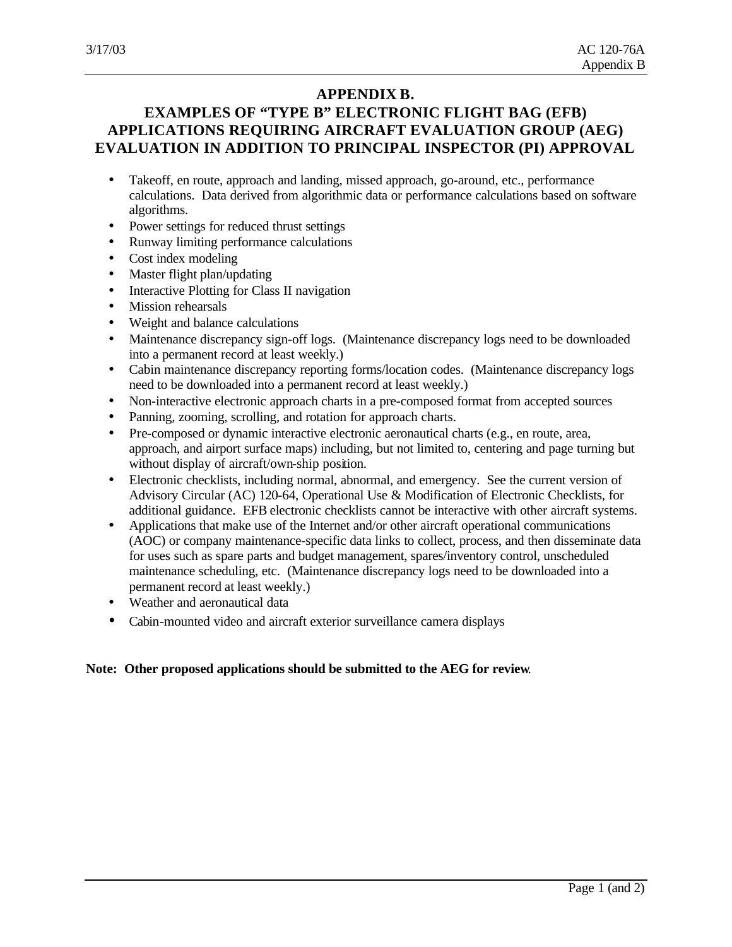# **APPENDIX B.**

# **EXAMPLES OF "TYPE B" ELECTRONIC FLIGHT BAG (EFB) APPLICATIONS REQUIRING AIRCRAFT EVALUATION GROUP (AEG) EVALUATION IN ADDITION TO PRINCIPAL INSPECTOR (PI) APPROVAL**

- Takeoff, en route, approach and landing, missed approach, go-around, etc., performance calculations. Data derived from algorithmic data or performance calculations based on software algorithms.
- Power settings for reduced thrust settings
- Runway limiting performance calculations
- Cost index modeling
- Master flight plan/updating
- Interactive Plotting for Class II navigation
- Mission rehearsals
- Weight and balance calculations
- Maintenance discrepancy sign-off logs. (Maintenance discrepancy logs need to be downloaded into a permanent record at least weekly.)
- Cabin maintenance discrepancy reporting forms/location codes. (Maintenance discrepancy logs need to be downloaded into a permanent record at least weekly.)
- Non-interactive electronic approach charts in a pre-composed format from accepted sources
- Panning, zooming, scrolling, and rotation for approach charts.
- Pre-composed or dynamic interactive electronic aeronautical charts (e.g., en route, area, approach, and airport surface maps) including, but not limited to, centering and page turning but without display of aircraft/own-ship position.
- Electronic checklists, including normal, abnormal, and emergency. See the current version of Advisory Circular (AC) 120-64, Operational Use & Modification of Electronic Checklists, for additional guidance. EFB electronic checklists cannot be interactive with other aircraft systems.
- Applications that make use of the Internet and/or other aircraft operational communications (AOC) or company maintenance-specific data links to collect, process, and then disseminate data for uses such as spare parts and budget management, spares/inventory control, unscheduled maintenance scheduling, etc. (Maintenance discrepancy logs need to be downloaded into a permanent record at least weekly.)
- Weather and aeronautical data
- Cabin-mounted video and aircraft exterior surveillance camera displays

## **Note: Other proposed applications should be submitted to the AEG for review**.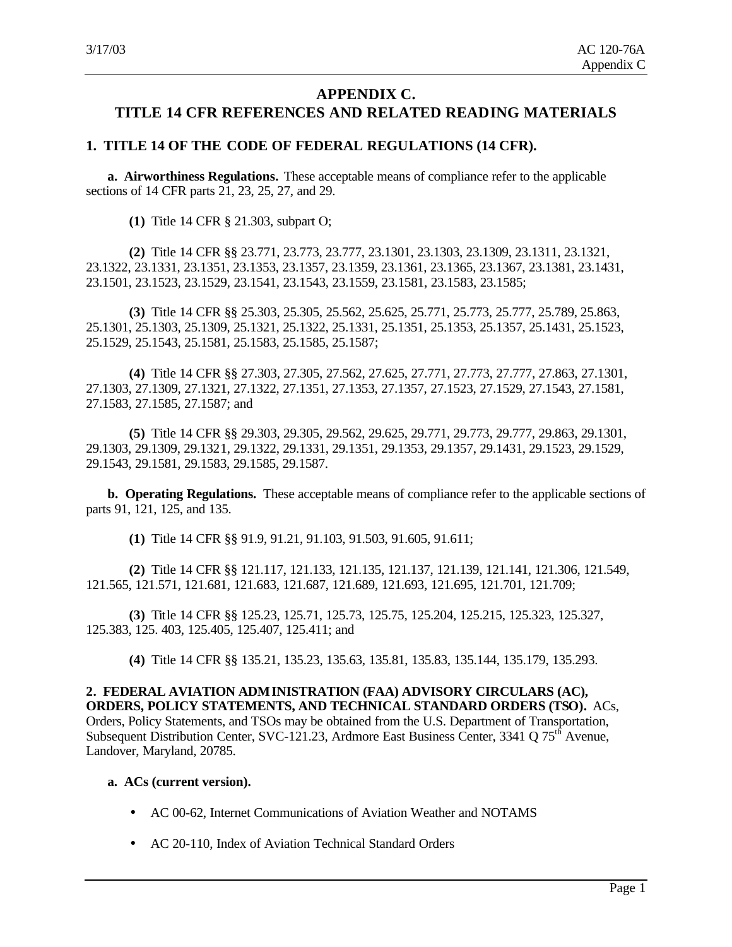# **APPENDIX C. TITLE 14 CFR REFERENCES AND RELATED READING MATERIALS**

## **1. TITLE 14 OF THE CODE OF FEDERAL REGULATIONS (14 CFR).**

**a. Airworthiness Regulations.** These acceptable means of compliance refer to the applicable sections of 14 CFR parts 21, 23, 25, 27, and 29.

**(1)** Title 14 CFR § 21.303, subpart O;

**(2)** Title 14 CFR §§ 23.771, 23.773, 23.777, 23.1301, 23.1303, 23.1309, 23.1311, 23.1321, 23.1322, 23.1331, 23.1351, 23.1353, 23.1357, 23.1359, 23.1361, 23.1365, 23.1367, 23.1381, 23.1431, 23.1501, 23.1523, 23.1529, 23.1541, 23.1543, 23.1559, 23.1581, 23.1583, 23.1585;

**(3)** Title 14 CFR §§ 25.303, 25.305, 25.562, 25.625, 25.771, 25.773, 25.777, 25.789, 25.863, 25.1301, 25.1303, 25.1309, 25.1321, 25.1322, 25.1331, 25.1351, 25.1353, 25.1357, 25.1431, 25.1523, 25.1529, 25.1543, 25.1581, 25.1583, 25.1585, 25.1587;

**(4)** Title 14 CFR §§ 27.303, 27.305, 27.562, 27.625, 27.771, 27.773, 27.777, 27.863, 27.1301, 27.1303, 27.1309, 27.1321, 27.1322, 27.1351, 27.1353, 27.1357, 27.1523, 27.1529, 27.1543, 27.1581, 27.1583, 27.1585, 27.1587; and

**(5)** Title 14 CFR §§ 29.303, 29.305, 29.562, 29.625, 29.771, 29.773, 29.777, 29.863, 29.1301, 29.1303, 29.1309, 29.1321, 29.1322, 29.1331, 29.1351, 29.1353, 29.1357, 29.1431, 29.1523, 29.1529, 29.1543, 29.1581, 29.1583, 29.1585, 29.1587.

**b. Operating Regulations.** These acceptable means of compliance refer to the applicable sections of parts 91, 121, 125, and 135.

**(1)** Title 14 CFR §§ 91.9, 91.21, 91.103, 91.503, 91.605, 91.611;

**(2)** Title 14 CFR §§ 121.117, 121.133, 121.135, 121.137, 121.139, 121.141, 121.306, 121.549, 121.565, 121.571, 121.681, 121.683, 121.687, 121.689, 121.693, 121.695, 121.701, 121.709;

**(3)** Title 14 CFR §§ 125.23, 125.71, 125.73, 125.75, 125.204, 125.215, 125.323, 125.327, 125.383, 125. 403, 125.405, 125.407, 125.411; and

**(4)** Title 14 CFR §§ 135.21, 135.23, 135.63, 135.81, 135.83, 135.144, 135.179, 135.293.

**2. FEDERAL AVIATION ADMINISTRATION (FAA) ADVISORY CIRCULARS (AC), ORDERS, POLICY STATEMENTS, AND TECHNICAL STANDARD ORDERS (TSO).** ACs, Orders, Policy Statements, and TSOs may be obtained from the U.S. Department of Transportation, Subsequent Distribution Center, SVC-121.23, Ardmore East Business Center, 3341 Q 75<sup>th</sup> Avenue, Landover, Maryland, 20785.

#### **a. ACs (current version).**

- AC 00-62, Internet Communications of Aviation Weather and NOTAMS
- AC 20-110, Index of Aviation Technical Standard Orders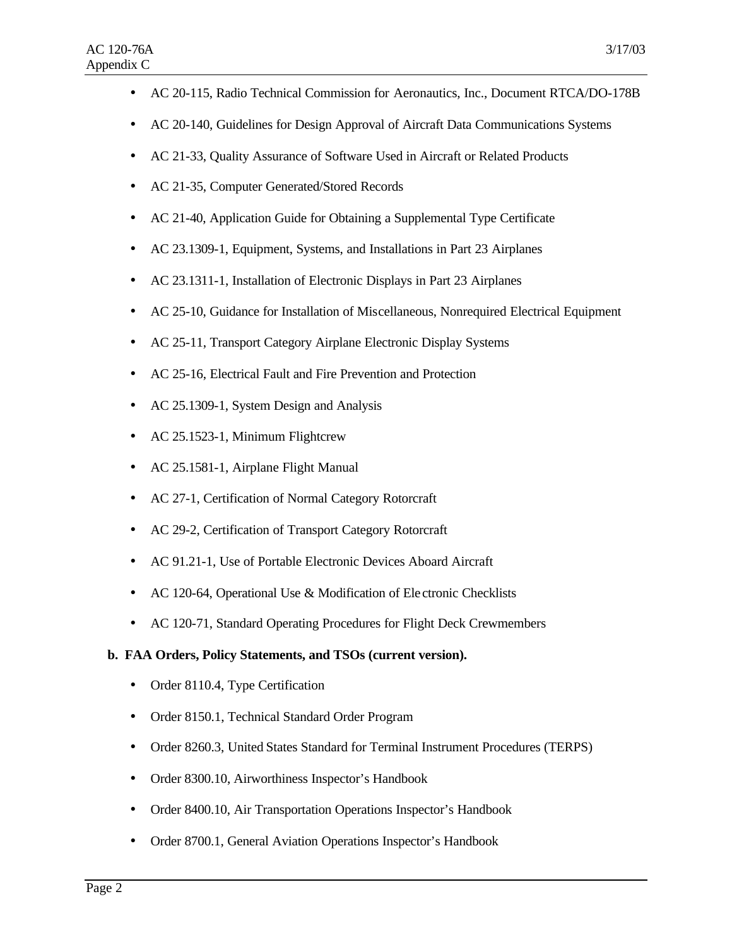- AC 20-115, Radio Technical Commission for Aeronautics, Inc., Document RTCA/DO-178B
- AC 20-140, Guidelines for Design Approval of Aircraft Data Communications Systems
- AC 21-33, Quality Assurance of Software Used in Aircraft or Related Products
- AC 21-35, Computer Generated/Stored Records
- AC 21-40, Application Guide for Obtaining a Supplemental Type Certificate
- AC 23.1309-1, Equipment, Systems, and Installations in Part 23 Airplanes
- AC 23.1311-1, Installation of Electronic Displays in Part 23 Airplanes
- AC 25-10, Guidance for Installation of Miscellaneous, Nonrequired Electrical Equipment
- AC 25-11, Transport Category Airplane Electronic Display Systems
- AC 25-16, Electrical Fault and Fire Prevention and Protection
- AC 25.1309-1, System Design and Analysis
- AC 25.1523-1, Minimum Flightcrew
- AC 25.1581-1, Airplane Flight Manual
- AC 27-1, Certification of Normal Category Rotorcraft
- AC 29-2, Certification of Transport Category Rotorcraft
- AC 91.21-1, Use of Portable Electronic Devices Aboard Aircraft
- AC 120-64, Operational Use & Modification of Electronic Checklists
- AC 120-71, Standard Operating Procedures for Flight Deck Crewmembers

#### **b. FAA Orders, Policy Statements, and TSOs (current version).**

- Order 8110.4, Type Certification
- Order 8150.1, Technical Standard Order Program
- Order 8260.3, United States Standard for Terminal Instrument Procedures (TERPS)
- Order 8300.10, Airworthiness Inspector's Handbook
- Order 8400.10, Air Transportation Operations Inspector's Handbook
- Order 8700.1, General Aviation Operations Inspector's Handbook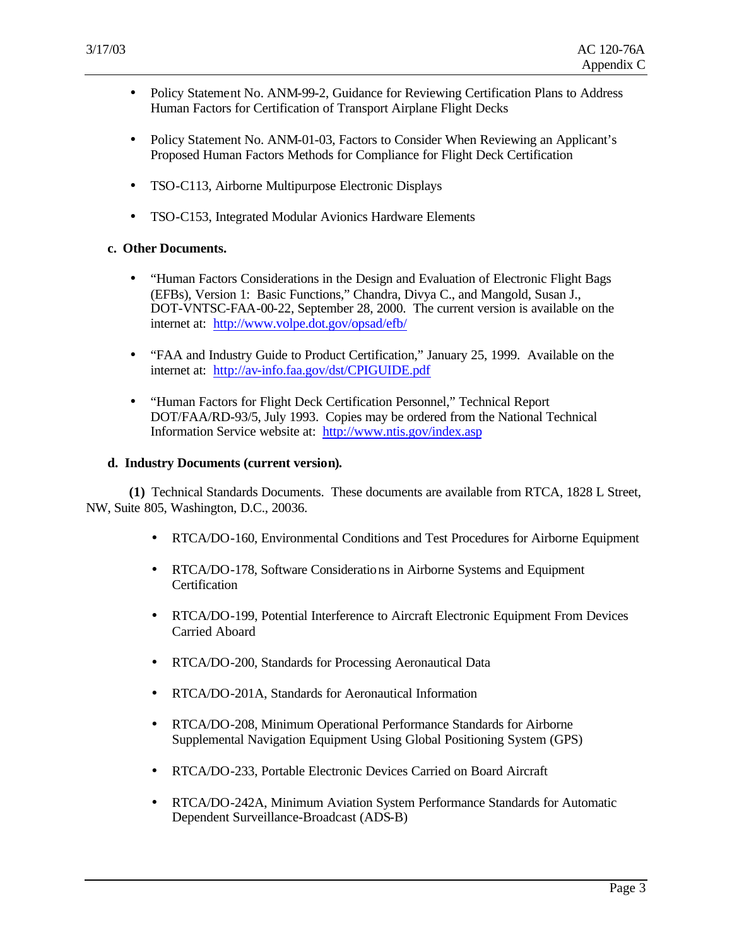- Policy Statement No. ANM-99-2, Guidance for Reviewing Certification Plans to Address Human Factors for Certification of Transport Airplane Flight Decks
- Policy Statement No. ANM-01-03, Factors to Consider When Reviewing an Applicant's Proposed Human Factors Methods for Compliance for Flight Deck Certification
- TSO-C113, Airborne Multipurpose Electronic Displays
- TSO-C153, Integrated Modular Avionics Hardware Elements

#### **c. Other Documents.**

- "Human Factors Considerations in the Design and Evaluation of Electronic Flight Bags (EFBs), Version 1: Basic Functions," Chandra, Divya C., and Mangold, Susan J., DOT-VNTSC-FAA-00-22, September 28, 2000. The current version is available on the internet at: http://www.volpe.dot.gov/opsad/efb/
- "FAA and Industry Guide to Product Certification," January 25, 1999. Available on the internet at: http://av-info.faa.gov/dst/CPIGUIDE.pdf
- "Human Factors for Flight Deck Certification Personnel," Technical Report DOT/FAA/RD-93/5, July 1993. Copies may be ordered from the National Technical Information Service website at: http://www.ntis.gov/index.asp

#### **d. Industry Documents (current version).**

**(1)** Technical Standards Documents. These documents are available from RTCA, 1828 L Street, NW, Suite 805, Washington, D.C., 20036.

- RTCA/DO-160, Environmental Conditions and Test Procedures for Airborne Equipment
- RTCA/DO-178, Software Considerations in Airborne Systems and Equipment **Certification**
- RTCA/DO-199, Potential Interference to Aircraft Electronic Equipment From Devices Carried Aboard
- RTCA/DO-200, Standards for Processing Aeronautical Data
- RTCA/DO-201A, Standards for Aeronautical Information
- RTCA/DO-208, Minimum Operational Performance Standards for Airborne Supplemental Navigation Equipment Using Global Positioning System (GPS)
- RTCA/DO-233, Portable Electronic Devices Carried on Board Aircraft
- RTCA/DO-242A, Minimum Aviation System Performance Standards for Automatic Dependent Surveillance-Broadcast (ADS-B)